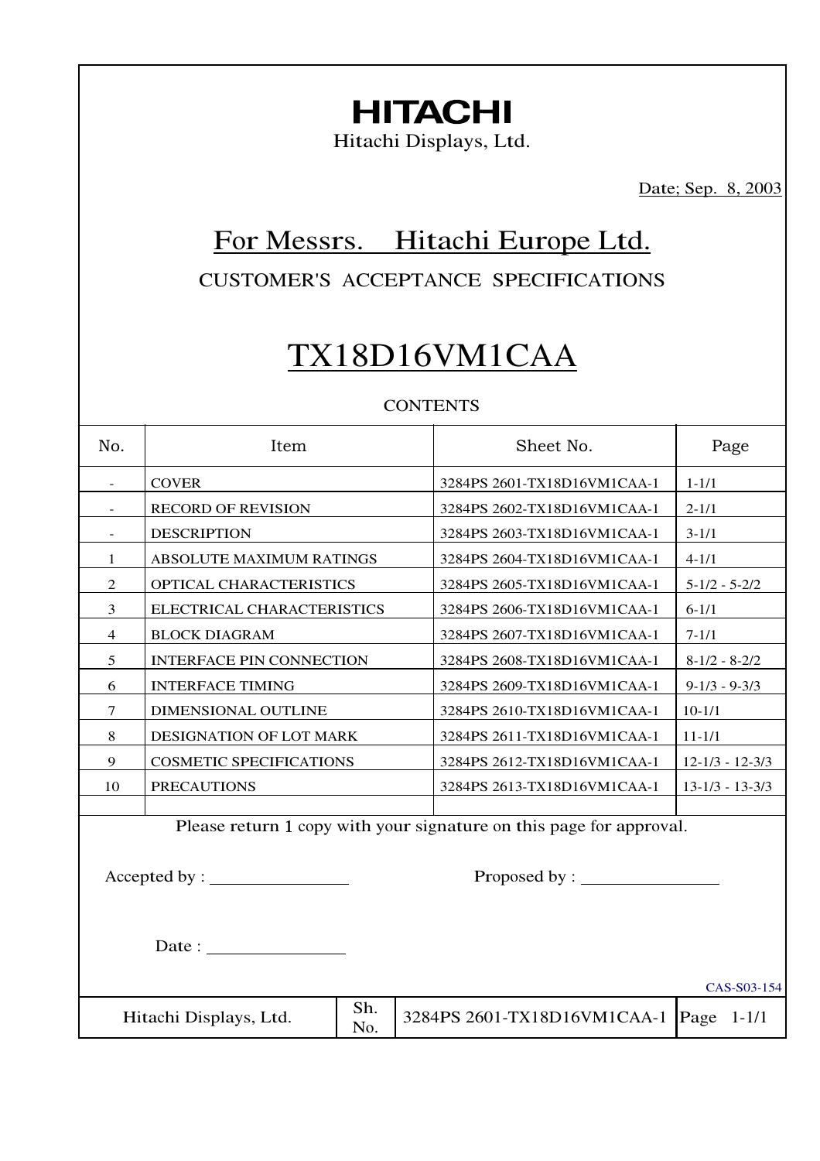# **HITACHI**

Hitachi Displays, Ltd.

Date; Sep. 8, 2003

## For Messrs. Hitachi Europe Ltd.

CUSTOMER'S ACCEPTANCE SPECIFICATIONS

## TX18D16VM1CAA

## **CONTENTS**

| No.    | Item                                                                | Sheet No.                   | Page                  |  |  |  |  |
|--------|---------------------------------------------------------------------|-----------------------------|-----------------------|--|--|--|--|
| $\sim$ | <b>COVER</b>                                                        | 3284PS 2601-TX18D16VM1CAA-1 | $1 - 1/1$             |  |  |  |  |
|        | <b>RECORD OF REVISION</b>                                           | 3284PS 2602-TX18D16VM1CAA-1 | $2 - 1/1$             |  |  |  |  |
|        | <b>DESCRIPTION</b>                                                  | 3284PS 2603-TX18D16VM1CAA-1 | $3 - 1/1$             |  |  |  |  |
| 1      | ABSOLUTE MAXIMUM RATINGS                                            | 3284PS 2604-TX18D16VM1CAA-1 | $4-1/1$               |  |  |  |  |
| 2      | OPTICAL CHARACTERISTICS                                             | 3284PS 2605-TX18D16VM1CAA-1 | $5 - 1/2 - 5 - 2/2$   |  |  |  |  |
| 3      | ELECTRICAL CHARACTERISTICS                                          | 3284PS 2606-TX18D16VM1CAA-1 | $6-1/1$               |  |  |  |  |
| 4      | <b>BLOCK DIAGRAM</b>                                                | 3284PS 2607-TX18D16VM1CAA-1 | $7 - 1/1$             |  |  |  |  |
| 5      | <b>INTERFACE PIN CONNECTION</b>                                     | 3284PS 2608-TX18D16VM1CAA-1 | $8-1/2 - 8-2/2$       |  |  |  |  |
| 6      | <b>INTERFACE TIMING</b>                                             | 3284PS 2609-TX18D16VM1CAA-1 | $9 - 1/3 - 9 - 3/3$   |  |  |  |  |
| 7      | DIMENSIONAL OUTLINE                                                 | 3284PS 2610-TX18D16VM1CAA-1 | $10-1/1$              |  |  |  |  |
| 8      | DESIGNATION OF LOT MARK                                             | 3284PS 2611-TX18D16VM1CAA-1 | $11 - 1/1$            |  |  |  |  |
| 9      | <b>COSMETIC SPECIFICATIONS</b>                                      | 3284PS 2612-TX18D16VM1CAA-1 | $12 - 1/3 - 12 - 3/3$ |  |  |  |  |
| 10     | <b>PRECAUTIONS</b>                                                  | 3284PS 2613-TX18D16VM1CAA-1 | $13 - 1/3 - 13 - 3/3$ |  |  |  |  |
|        |                                                                     |                             |                       |  |  |  |  |
|        | Please return 1 copy with your signature on this page for approval. |                             |                       |  |  |  |  |
|        |                                                                     |                             |                       |  |  |  |  |
|        | Proposed by : $\_\_$                                                |                             |                       |  |  |  |  |

Date :

Hitachi Displays, Ltd.  $\begin{array}{|c|c|} \hline \text{Sh.} \\ \hline \text{No.} \end{array}$ 

CAS-S03-154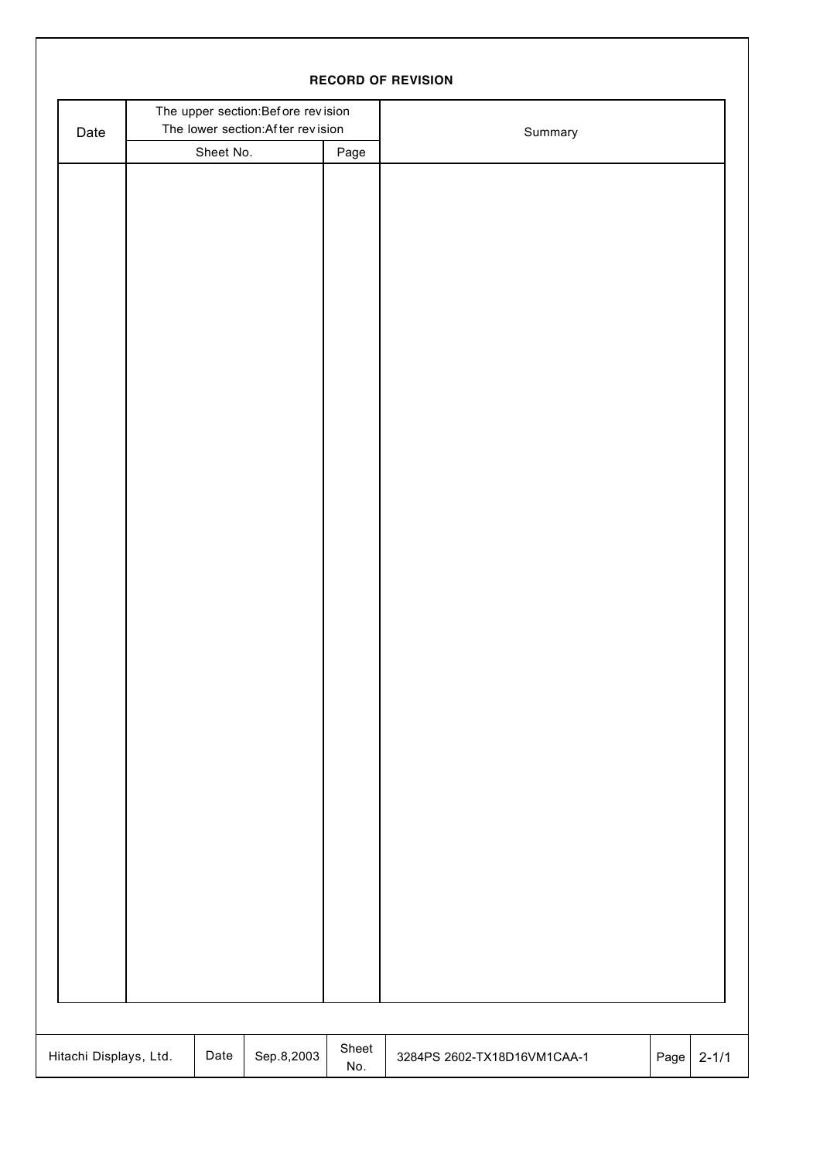| <b>RECORD OF REVISION</b> |                                                                         |           |            |              |                                     |           |  |  |  |  |
|---------------------------|-------------------------------------------------------------------------|-----------|------------|--------------|-------------------------------------|-----------|--|--|--|--|
| Date                      | The upper section: Before revision<br>The lower section: After revision |           |            |              | Summary                             |           |  |  |  |  |
|                           |                                                                         | Sheet No. |            | Page         |                                     |           |  |  |  |  |
|                           |                                                                         |           |            |              |                                     |           |  |  |  |  |
|                           |                                                                         |           |            |              |                                     |           |  |  |  |  |
|                           |                                                                         |           |            |              |                                     |           |  |  |  |  |
|                           |                                                                         |           |            |              |                                     |           |  |  |  |  |
|                           |                                                                         |           |            |              |                                     |           |  |  |  |  |
|                           |                                                                         |           |            |              |                                     |           |  |  |  |  |
|                           |                                                                         |           |            |              |                                     |           |  |  |  |  |
|                           |                                                                         |           |            |              |                                     |           |  |  |  |  |
|                           |                                                                         |           |            |              |                                     |           |  |  |  |  |
|                           |                                                                         |           |            |              |                                     |           |  |  |  |  |
|                           |                                                                         |           |            |              |                                     |           |  |  |  |  |
|                           |                                                                         |           |            |              |                                     |           |  |  |  |  |
|                           |                                                                         |           |            |              |                                     |           |  |  |  |  |
|                           |                                                                         |           |            |              |                                     |           |  |  |  |  |
|                           |                                                                         |           |            |              |                                     |           |  |  |  |  |
|                           |                                                                         |           |            |              |                                     |           |  |  |  |  |
|                           |                                                                         |           |            |              |                                     |           |  |  |  |  |
|                           |                                                                         |           |            |              |                                     |           |  |  |  |  |
|                           |                                                                         |           |            |              |                                     |           |  |  |  |  |
|                           |                                                                         |           |            |              |                                     |           |  |  |  |  |
|                           |                                                                         |           |            |              |                                     |           |  |  |  |  |
|                           |                                                                         |           |            |              |                                     |           |  |  |  |  |
|                           |                                                                         |           |            |              |                                     |           |  |  |  |  |
|                           |                                                                         |           |            |              |                                     |           |  |  |  |  |
|                           |                                                                         |           |            |              |                                     |           |  |  |  |  |
|                           |                                                                         |           |            |              |                                     |           |  |  |  |  |
|                           |                                                                         |           |            |              |                                     |           |  |  |  |  |
|                           |                                                                         |           |            |              |                                     |           |  |  |  |  |
|                           |                                                                         |           |            |              |                                     |           |  |  |  |  |
|                           |                                                                         |           |            |              |                                     |           |  |  |  |  |
|                           |                                                                         |           |            |              |                                     |           |  |  |  |  |
|                           |                                                                         |           |            |              |                                     |           |  |  |  |  |
|                           |                                                                         |           |            |              |                                     |           |  |  |  |  |
|                           |                                                                         |           |            |              |                                     |           |  |  |  |  |
|                           |                                                                         |           |            |              |                                     |           |  |  |  |  |
|                           |                                                                         |           |            |              |                                     |           |  |  |  |  |
|                           |                                                                         |           |            |              |                                     |           |  |  |  |  |
| Hitachi Displays, Ltd.    |                                                                         | Date      | Sep.8,2003 | Sheet<br>No. | 3284PS 2602-TX18D16VM1CAA-1<br>Page | $2 - 1/1$ |  |  |  |  |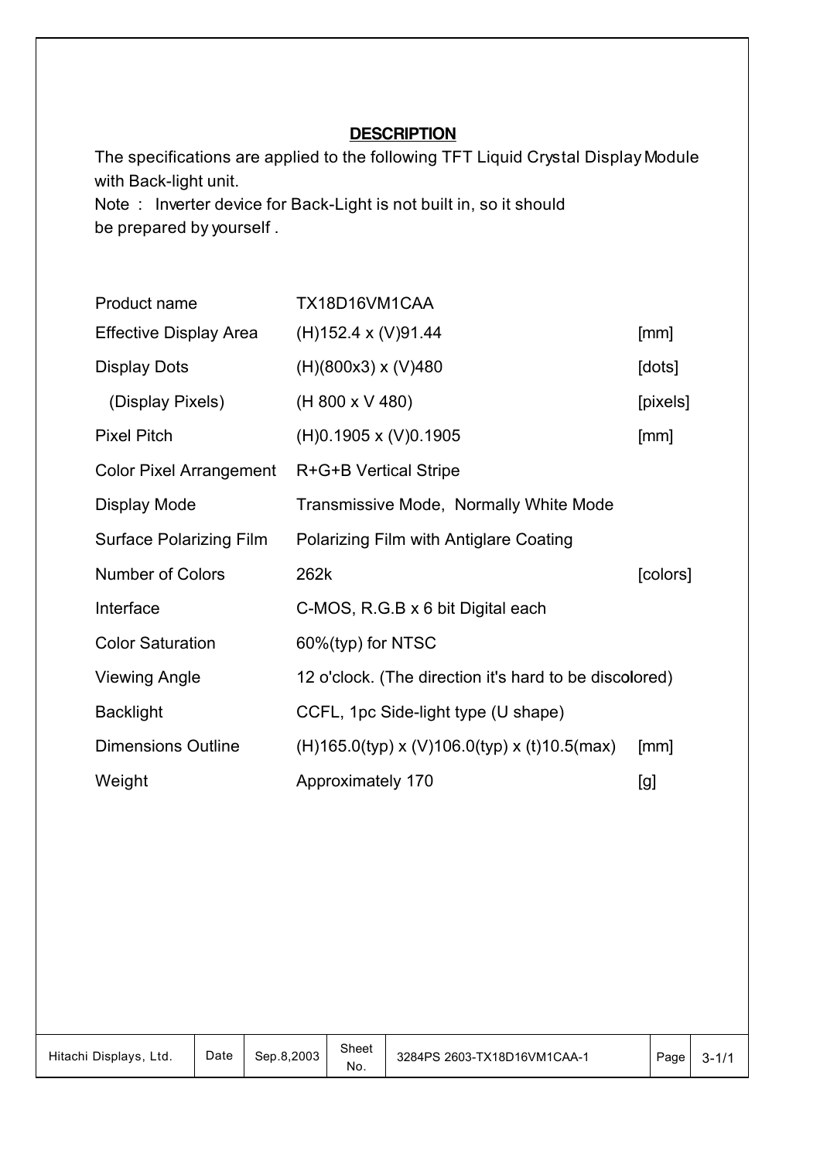## **DESCRIPTION**

The specifications are applied to the following TFT Liquid Crystal Display Module with Back-light unit. Note : Inverter device for Back-Light is not built in, so it should be prepared by yourself .

| Product name                   | TX18D16VM1CAA                                          |          |
|--------------------------------|--------------------------------------------------------|----------|
| <b>Effective Display Area</b>  | $(H)$ 152.4 x (V)91.44                                 | [mm]     |
| <b>Display Dots</b>            | $(H)(800x3)$ x $(V)480$                                | [dots]   |
| (Display Pixels)               | (H 800 x V 480)                                        | [pixels] |
| <b>Pixel Pitch</b>             | $(H)0.1905 \times (V)0.1905$                           | [mm]     |
| <b>Color Pixel Arrangement</b> | R+G+B Vertical Stripe                                  |          |
| Display Mode                   | Transmissive Mode, Normally White Mode                 |          |
| <b>Surface Polarizing Film</b> | Polarizing Film with Antiglare Coating                 |          |
| <b>Number of Colors</b>        | 262k                                                   | [colors] |
| Interface                      | C-MOS, R.G.B x 6 bit Digital each                      |          |
| <b>Color Saturation</b>        | 60%(typ) for NTSC                                      |          |
| <b>Viewing Angle</b>           | 12 o'clock. (The direction it's hard to be discolored) |          |
| <b>Backlight</b>               | CCFL, 1pc Side-light type (U shape)                    |          |
| <b>Dimensions Outline</b>      | $(H)$ 165.0(typ) x (V)106.0(typ) x (t)10.5(max)        | [mm]     |
| Weight                         | Approximately 170                                      | [g]      |

| Hitachi Displays,<br>Ltd. | Date | Sep.8.2003 | Sheet<br>No. | 3284PS 2603-TX18D16VM1CAA-1 | Page | -c |
|---------------------------|------|------------|--------------|-----------------------------|------|----|
|---------------------------|------|------------|--------------|-----------------------------|------|----|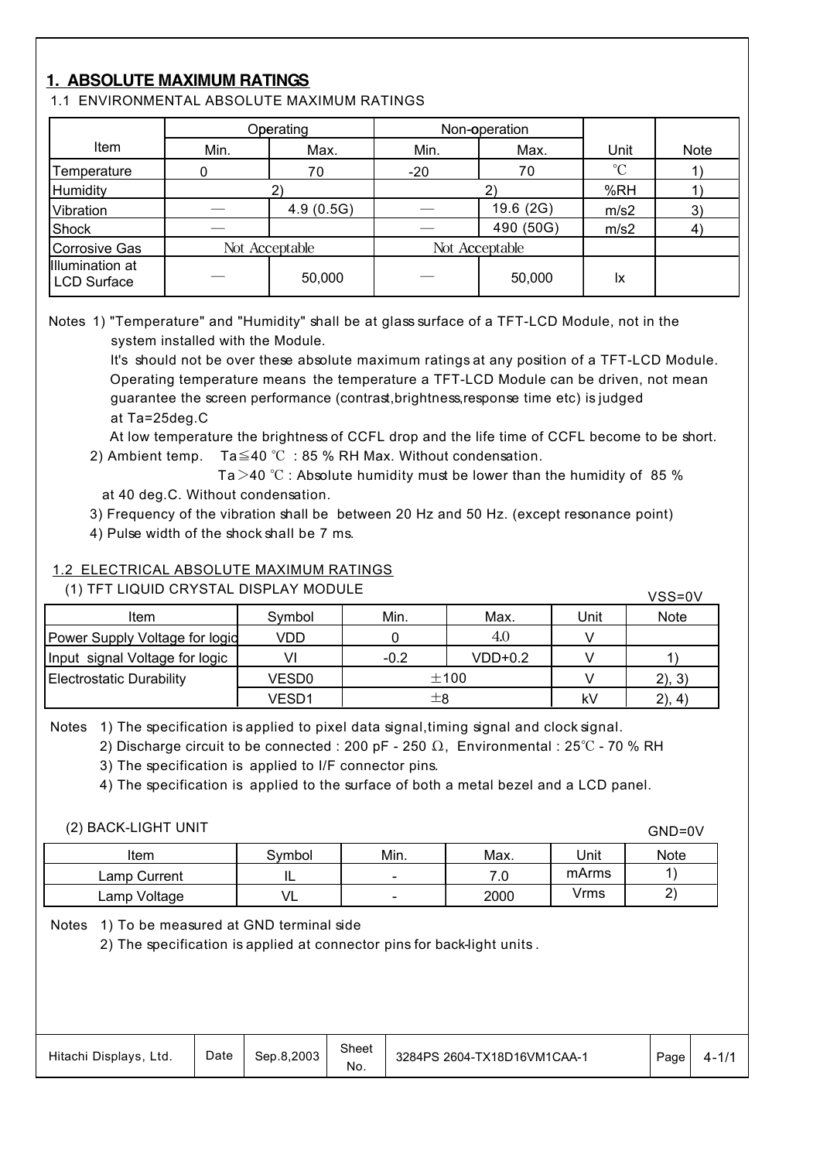## **1. ABSOLUTE MAXIMUM RATINGS**

1.1 ENVIRONMENTAL ABSOLUTE MAXIMUM RATINGS

|                                       |              | Operating      |              | Non-operation  |                 |      |
|---------------------------------------|--------------|----------------|--------------|----------------|-----------------|------|
| Item                                  | Min.<br>Max. |                | Min.<br>Max. |                | Unit            | Note |
| Temperature                           |              | 70             | $-20$        | 70             | $\rm ^{\circ}C$ |      |
| Humidity                              |              |                |              |                | %RH             |      |
| Vibration                             |              | 4.9(0.5G)      |              | 19.6 (2G)      | m/s2            | 3)   |
| Shock                                 |              |                |              | 490 (50G)      | m/s2            | 4)   |
| <b>Corrosive Gas</b>                  |              | Not Acceptable |              | Not Acceptable |                 |      |
| Illumination at<br><b>LCD Surface</b> |              | 50,000         |              | 50,000         | Ιx              |      |

Notes 1) "Temperature" and "Humidity" shall be at glass surface of a TFT-LCD Module, not in the system installed with the Module.

 It's should not be over these absolute maximum ratings at any position of a TFT-LCD Module. Operating temperature means the temperature a TFT-LCD Module can be driven, not mean guarantee the screen performance (contrast,brightness,response time etc) is judged at Ta=25deg.C

 At low temperature the brightness of CCFL drop and the life time of CCFL become to be short. 2) Ambient temp.  $Ta \leq 40 °C : 85 \%$  RH Max. Without condensation.

Ta $>$ 40 °C : Absolute humidity must be lower than the humidity of 85 % at 40 deg.C. Without condensation.

3) Frequency of the vibration shall be between 20 Hz and 50 Hz. (except resonance point)

4) Pulse width of the shock shall be 7 ms.

#### 1.2 ELECTRICAL ABSOLUTE MAXIMUM RATINGS

(1) TFT LIQUID CRYSTAL DISPLAY MODULE

| (1) IFT LIQUID CRYSTAL DISPLAY MODULE |        |         |         |      |             |  |  |  |
|---------------------------------------|--------|---------|---------|------|-------------|--|--|--|
| Item                                  | Symbol | Min.    | Max.    | Unit | <b>Note</b> |  |  |  |
| Power Supply Voltage for logid        | VDD    |         | 4.0     |      |             |  |  |  |
| Input signal Voltage for logic        |        | $-0.2$  | VDD+0.2 |      |             |  |  |  |
| Electrostatic Durability              | VESD0  |         | ±100    |      | 2), 3)      |  |  |  |
|                                       | VESD1  | $\pm 8$ |         | kV   | (2), 4)     |  |  |  |

Notes 1) The specification is applied to pixel data signal, timing signal and clock signal.

2) Discharge circuit to be connected : 200 pF - 250  $\Omega$ , Environmental : 25°C - 70 % RH

3) The specification is applied to I/F connector pins.

4) The specification is applied to the surface of both a metal bezel and a LCD panel.

#### (2) BACK-LIGHT UNIT

|              |                      |                          |          |       | <b>VIIV VV</b> |
|--------------|----------------------|--------------------------|----------|-------|----------------|
| Item         | Svmbol               | Min.                     | Max.     | Unit  | Note           |
| Lamp Current | . .                  | $\overline{\phantom{0}}$ | 70<br>.v | mArms |                |
| ∟amp Voltage | $\overline{ }$<br>VL | -                        | 2000     | Vrms  | -              |

GND=0V

Notes 1) To be measured at GND terminal side

2) The specification is applied at connector pins for back-light units .

| Hitachi Displays, Ltd. | Date | Sep.8.2003 | Sheet<br>No. | 3284PS 2604-TX18D16VM1CAA-1 | Page | 4-17 |
|------------------------|------|------------|--------------|-----------------------------|------|------|
|------------------------|------|------------|--------------|-----------------------------|------|------|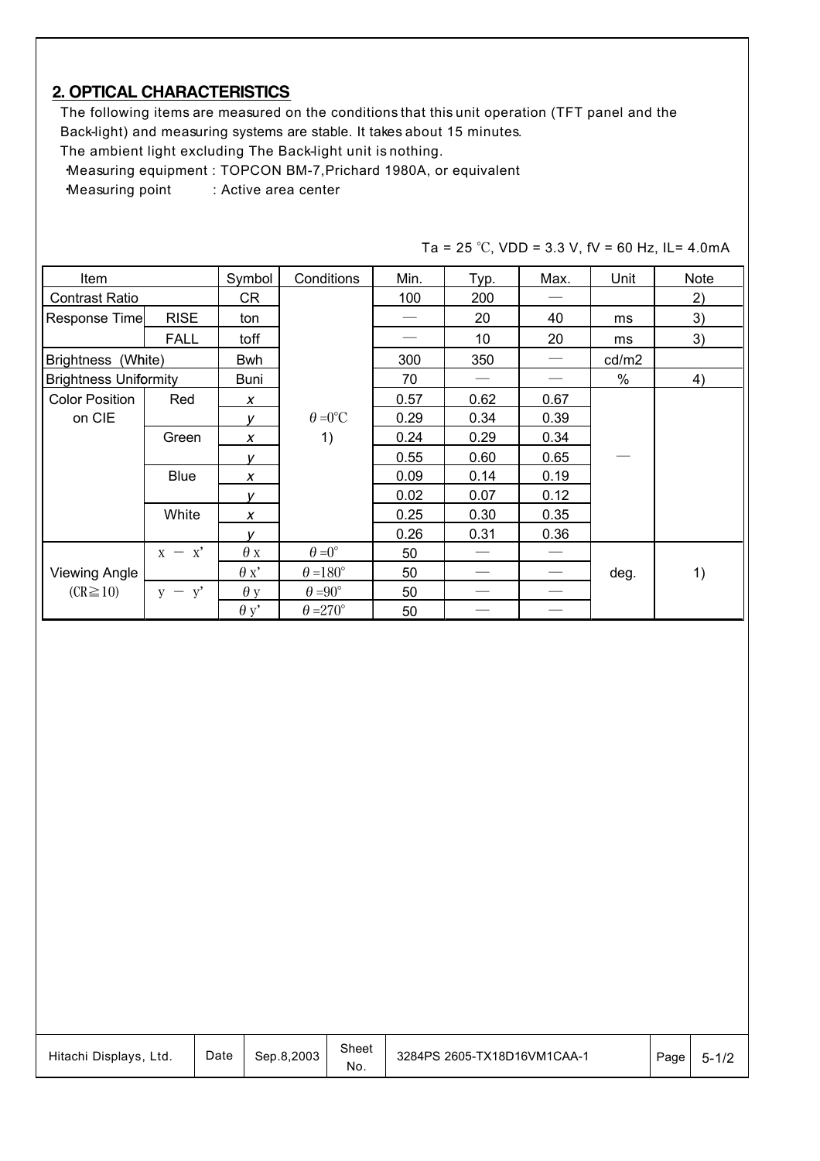## **2. OPTICAL CHARACTERISTICS**

 The following items are measured on the conditions that this unit operation (TFT panel and the Back-light) and measuring systems are stable. It takes about 15 minutes.

The ambient light excluding The Back-light unit is nothing.

・Measuring equipment : TOPCON BM-7,Prichard 1980A, or equivalent

Measuring point : Active area center

| Item                         |             | Symbol       | Conditions            | Min. | Typ. | Max.              | Unit  | <b>Note</b> |
|------------------------------|-------------|--------------|-----------------------|------|------|-------------------|-------|-------------|
| <b>Contrast Ratio</b>        |             | CR           |                       | 100  | 200  |                   |       | 2)          |
| Response Time                | <b>RISE</b> | ton          |                       |      | 20   | 40                | ms    | 3)          |
|                              | <b>FALL</b> | toff         |                       |      | 10   | 20                | ms    | 3)          |
| Brightness (White)           |             | <b>Bwh</b>   |                       | 300  | 350  |                   | cd/m2 |             |
| <b>Brightness Uniformity</b> |             | Buni         |                       | 70   |      |                   | $\%$  | 4)          |
| <b>Color Position</b>        | Red         | X            |                       | 0.57 | 0.62 | 0.67              |       |             |
| on CIE                       |             | v            | $\theta = 0^{\circ}C$ | 0.29 | 0.34 | 0.39              |       |             |
|                              | Green       | X            | 1)                    | 0.24 | 0.29 | 0.34              |       |             |
|                              |             | v            |                       | 0.55 | 0.60 | 0.65              |       |             |
|                              | <b>Blue</b> | X            |                       | 0.09 | 0.14 | 0.19              |       |             |
|                              |             | v            |                       | 0.02 | 0.07 | 0.12              |       |             |
|                              | White       | X            |                       | 0.25 | 0.30 | 0.35              |       |             |
|                              |             | $\mathbf{v}$ |                       | 0.26 | 0.31 | 0.36              |       |             |
|                              | $x - x'$    | $\theta$ x   | $\theta = 0^{\circ}$  | 50   |      |                   |       |             |
| <b>Viewing Angle</b>         |             | $\theta x'$  | $\theta = 180^\circ$  | 50   |      | $\hspace{0.05cm}$ | deg.  | 1)          |
| $(CR \ge 10)$                | $y - y'$    | $\theta$ y   | $\theta = 90^\circ$   | 50   |      |                   |       |             |
|                              |             | $\theta$ y'  | $\theta = 270^\circ$  | 50   |      |                   |       |             |

Ta = 25 °C, VDD = 3.3 V, fV = 60 Hz, IL= 4.0mA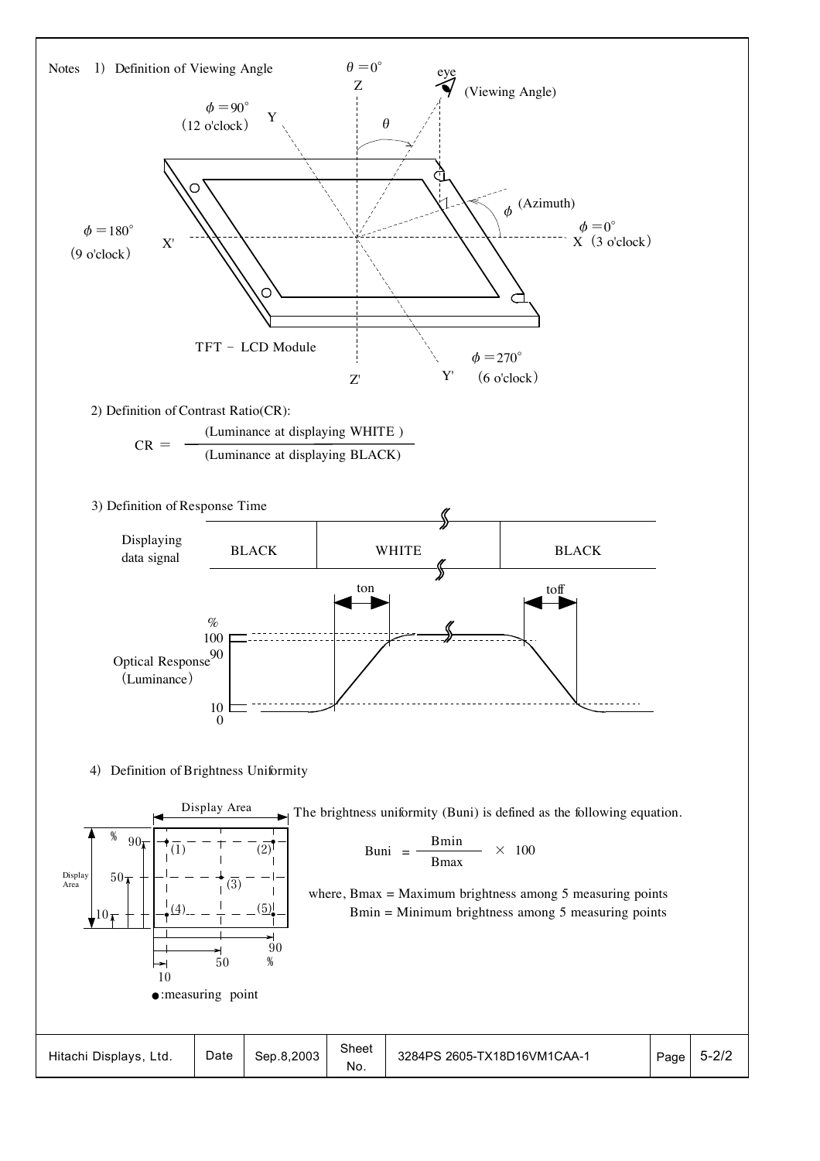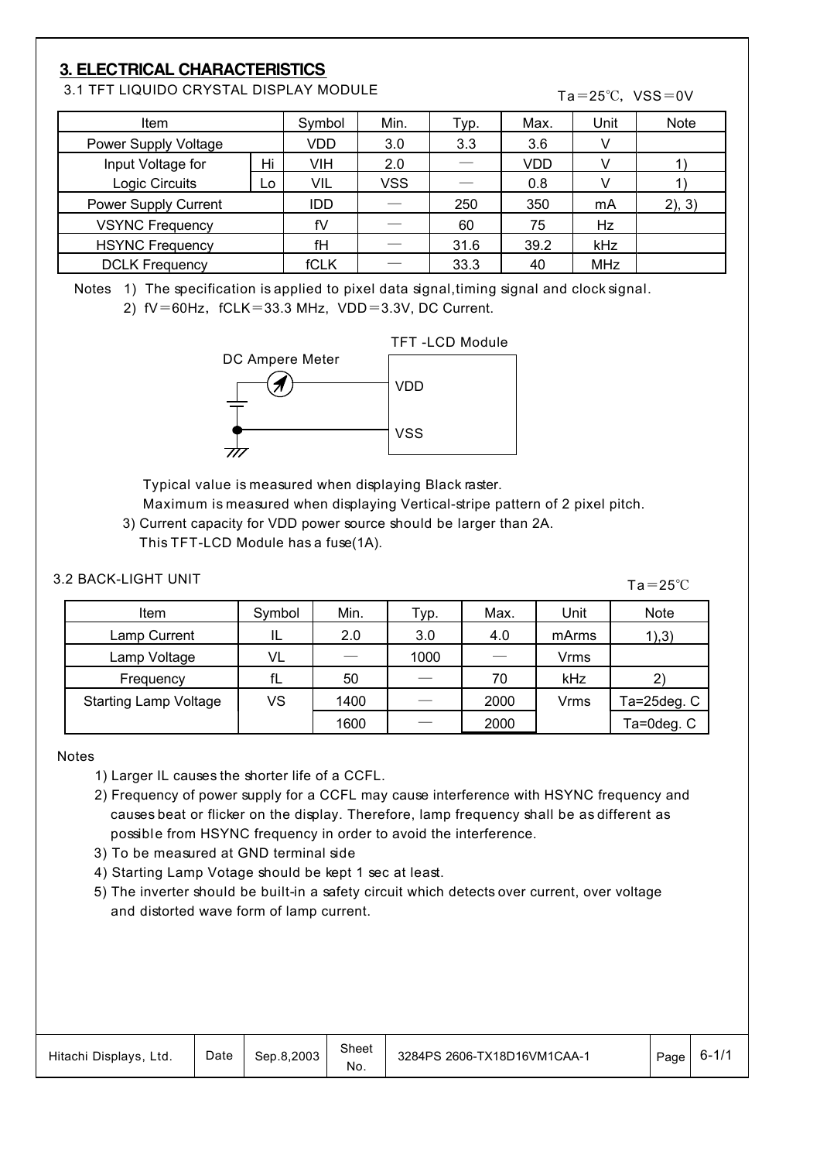## **3. ELECTRICAL CHARACTERISTICS**

3.1 TFT LIQUIDO CRYSTAL DISPLAY MODULE

#### Ta= $25^{\circ}$ C, VSS=0V

| ltem                   |    | Symbol      | Min. | Typ. | Max. | Unit       | Note   |
|------------------------|----|-------------|------|------|------|------------|--------|
| Power Supply Voltage   |    | VDD         | 3.0  | 3.3  | 3.6  |            |        |
| Input Voltage for      | Hi | VIH         | 2.0  |      | VDD  |            |        |
| Logic Circuits         | Lo | VIL         | VSS  |      | 0.8  |            |        |
| Power Supply Current   |    | <b>IDD</b>  |      | 250  | 350  | mA         | 2), 3) |
| <b>VSYNC Frequency</b> |    | fV          |      | 60   | 75   | Hz         |        |
| <b>HSYNC Frequency</b> |    | fH          |      | 31.6 | 39.2 | kHz        |        |
| <b>DCLK Frequency</b>  |    | <b>fCLK</b> |      | 33.3 | 40   | <b>MHz</b> |        |

Notes 1) The specification is applied to pixel data signal,timing signal and clock signal.

2)  $fV=60Hz$ ,  $fCLK=33.3 MHz$ ,  $VDD=3.3V$ , DC Current.



Typical value is measured when displaying Black raster.

 Maximum is measured when displaying Vertical-stripe pattern of 2 pixel pitch. 3) Current capacity for VDD power source should be larger than 2A.

This TFT-LCD Module has a fuse(1A).

 $Ta=25°C$ 

| <b>Item</b>                  | Symbol | Min. | Typ. | Max. | Unit  | Note        |
|------------------------------|--------|------|------|------|-------|-------------|
| Lamp Current                 | IL     | 2.0  | 3.0  | 4.0  | mArms | 1),3)       |
| Lamp Voltage                 | VL     |      | 1000 |      | Vrms  |             |
| Frequency                    | fL     | 50   |      | 70   | kHz   |             |
| <b>Starting Lamp Voltage</b> | VS     | 1400 |      | 2000 | Vrms  | Ta=25deg. C |
|                              |        | 1600 |      | 2000 |       | Ta=0deg. C  |

#### Notes

- 1) Larger IL causes the shorter life of a CCFL.
- 2) Frequency of power supply for a CCFL may cause interference with HSYNC frequency and causes beat or flicker on the display. Therefore, lamp frequency shall be as different as possible from HSYNC frequency in order to avoid the interference.
- 3) To be measured at GND terminal side
- 4) Starting Lamp Votage should be kept 1 sec at least.
- 5) The inverter should be built-in a safety circuit which detects over current, over voltage and distorted wave form of lamp current.

| Hitachi Displays, Ltd. | Date | Sep.8.2003 | Sheet<br>No. | 3284PS 2606-TX18D16VM1CAA-1 | Page | $6 - 1/$ |
|------------------------|------|------------|--------------|-----------------------------|------|----------|
|------------------------|------|------------|--------------|-----------------------------|------|----------|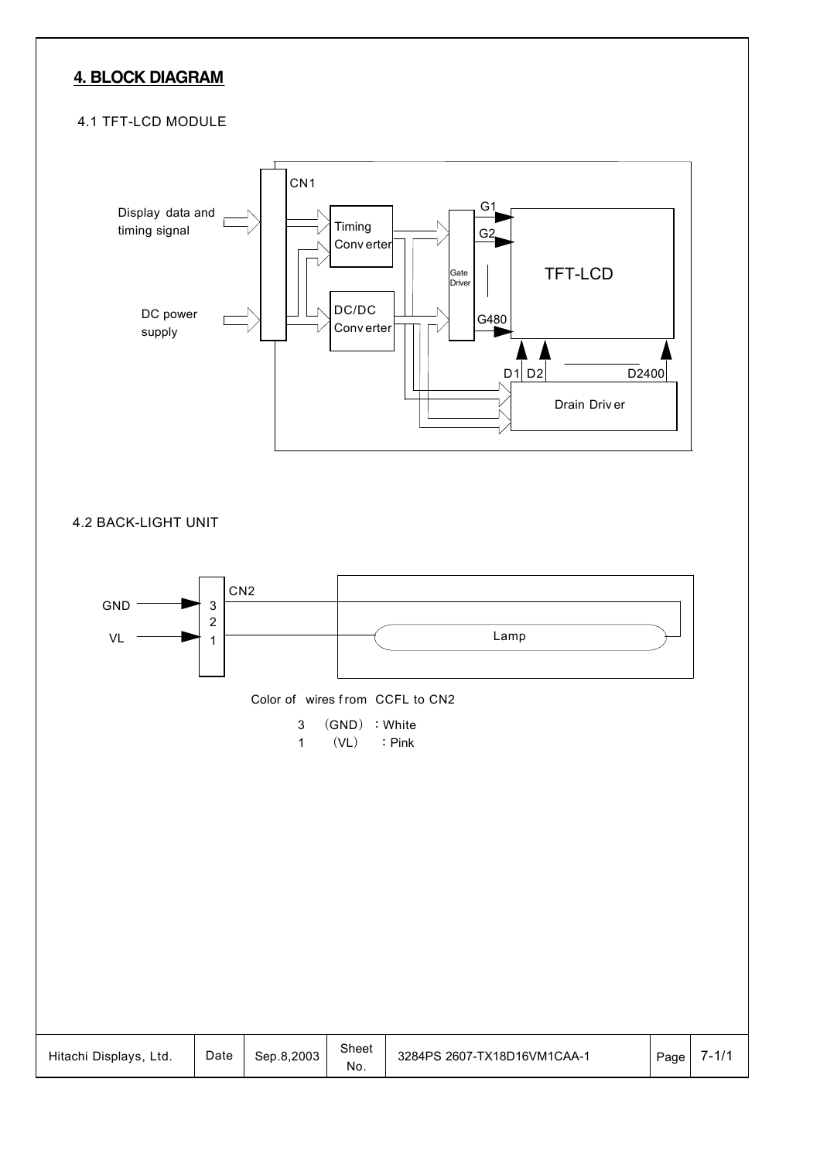## **4. BLOCK DIAGRAM**

#### 4.1 TFT-LCD MODULE

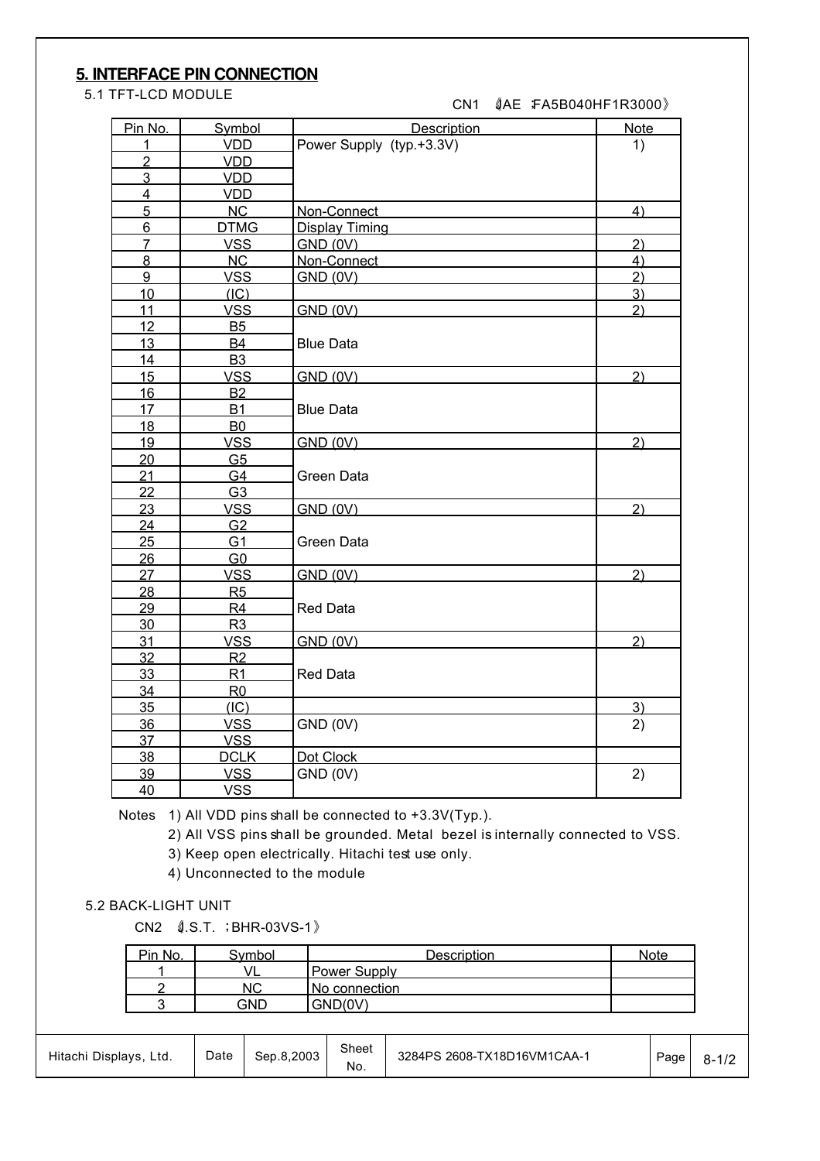## **5. INTERFACE PIN CONNECTION**

5.1 TFT-LCD MODULE

| CN1 |  | 《AE :FA5B040HF1R3000》 |
|-----|--|-----------------------|
|-----|--|-----------------------|

| Pin No.         | Symbol         | <b>Description</b>       | <b>Note</b>    |
|-----------------|----------------|--------------------------|----------------|
| 1               | <b>VDD</b>     | Power Supply (typ.+3.3V) | 1)             |
| $\overline{2}$  | <b>VDD</b>     |                          |                |
| 3               | <b>VDD</b>     |                          |                |
| $\overline{4}$  | <b>VDD</b>     |                          |                |
| $5\overline{)}$ | <b>NC</b>      | Non-Connect              | 4)             |
| $6\phantom{a}$  | <b>DTMG</b>    | <b>Display Timing</b>    |                |
| $\overline{7}$  | <b>VSS</b>     | GND (0V)                 | 2)             |
| $\overline{8}$  | NC             | Non-Connect              | 4)             |
| $\overline{9}$  | <b>VSS</b>     | <b>GND (0V)</b>          | $\overline{2}$ |
| 10              | (IC)           |                          | 3)             |
| 11              | <b>VSS</b>     | <b>GND (0V)</b>          | 2)             |
| 12              | <b>B5</b>      |                          |                |
| 13              | <b>B4</b>      | <b>Blue Data</b>         |                |
| 14              | <b>B3</b>      |                          |                |
| 15              | <b>VSS</b>     | <b>GND (0V)</b>          | 2)             |
| 16              | <b>B2</b>      |                          |                |
| 17              | <b>B1</b>      | <b>Blue Data</b>         |                |
| 18              | <b>B0</b>      |                          |                |
| 19              | <b>VSS</b>     | <b>GND (0V)</b>          | 2)             |
| 20              | G <sub>5</sub> |                          |                |
| 21              | G4             | Green Data               |                |
| 22              | G <sub>3</sub> |                          |                |
| 23              | <b>VSS</b>     | <b>GND (0V)</b>          | 2)             |
| 24              | G <sub>2</sub> |                          |                |
| 25              | G <sub>1</sub> | Green Data               |                |
| 26              | G <sub>0</sub> |                          |                |
| 27              | <b>VSS</b>     | GND (0V)                 | 2)             |
| 28              | R <sub>5</sub> |                          |                |
| 29              | R <sub>4</sub> | <b>Red Data</b>          |                |
| 30              | R <sub>3</sub> |                          |                |
| 31              | <b>VSS</b>     | <b>GND (0V)</b>          | 2)             |
| 32              | R2             |                          |                |
| 33              | R1             | <b>Red Data</b>          |                |
| 34              | R <sub>0</sub> |                          |                |
| 35              | (IC)           |                          | 3)             |
| 36              | <b>VSS</b>     | GND (0V)                 | 2)             |
| 37              | <b>VSS</b>     |                          |                |
| 38              | <b>DCLK</b>    | Dot Clock                |                |
| 39              | <b>VSS</b>     | GND (0V)                 | 2)             |
| 40              | <b>VSS</b>     |                          |                |

Notes 1) All VDD pins shall be connected to +3.3V(Typ.).

2) All VSS pins shall be grounded. Metal bezel is internally connected to VSS.

3) Keep open electrically. Hitachi test use only.

4) Unconnected to the module

#### 5.2 BACK-LIGHT UNIT

CN2 《J.S.T. ; BHR-03VS-1》

| Pin No. | `vmbol | Description         | Note |
|---------|--------|---------------------|------|
|         |        | <b>Power Supply</b> |      |
|         | NC     | No connection       |      |
|         | าµิ    | GND(0V)             |      |

| Hitachi Displays,<br>Ltd. | Date | Sep.8.2003 | Sheet<br>No. | 3284PS 2608-TX18D16VM1CAA-1 | Page | <br>$\sim$ $\sim$ |
|---------------------------|------|------------|--------------|-----------------------------|------|-------------------|
|---------------------------|------|------------|--------------|-----------------------------|------|-------------------|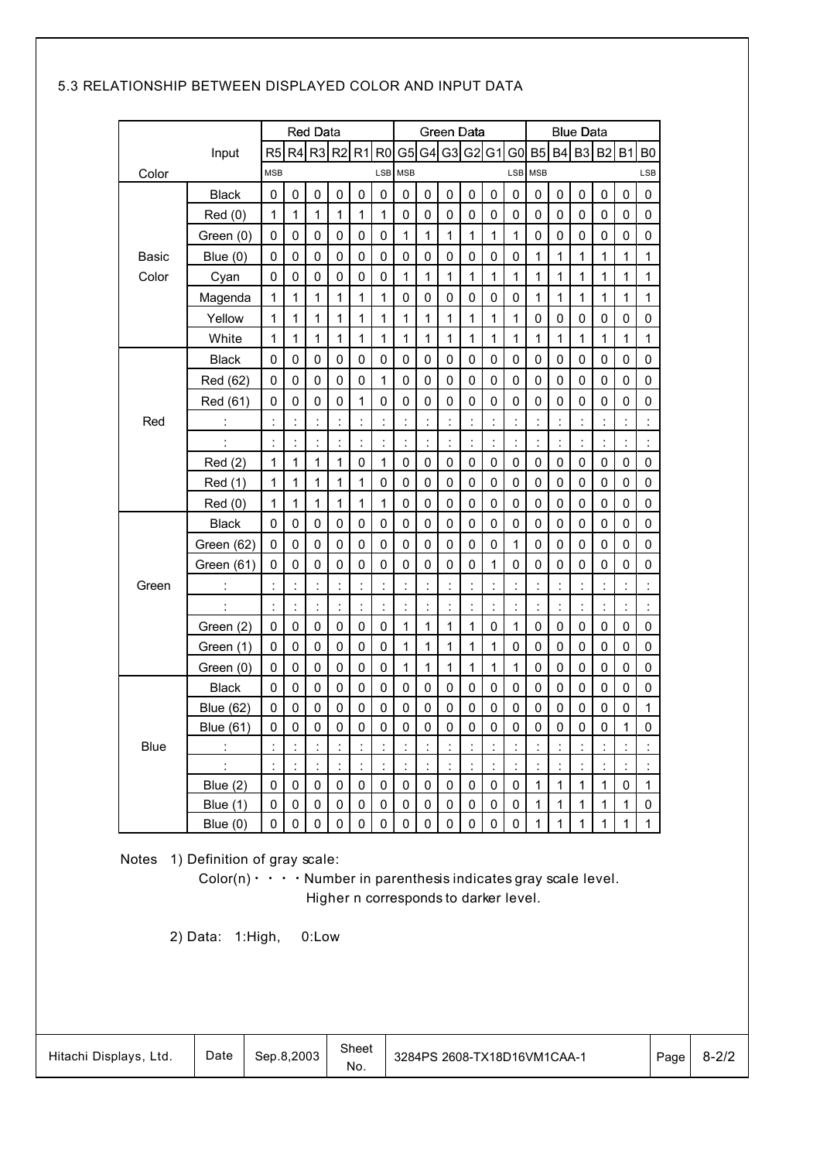### 5.3 RELATIONSHIP BETWEEN DISPLAYED COLOR AND INPUT DATA

|                                                                                                                                                                                                               |                      |                |                      | <b>Red Data</b>      |                |                      |                      |                |                      | Green Data     |                |                |                      |                |              | <b>Blue Data</b> |                      |              |                |
|---------------------------------------------------------------------------------------------------------------------------------------------------------------------------------------------------------------|----------------------|----------------|----------------------|----------------------|----------------|----------------------|----------------------|----------------|----------------------|----------------|----------------|----------------|----------------------|----------------|--------------|------------------|----------------------|--------------|----------------|
|                                                                                                                                                                                                               | Input                | R <sub>5</sub> | R <sub>4</sub>       | R <sub>3</sub>       | R <sub>2</sub> | R <sub>1</sub>       | R <sub>0</sub>       | G <sub>5</sub> | G <sub>4</sub>       | G <sub>3</sub> | G <sub>2</sub> | G1             | G <sub>0</sub>       | B <sub>5</sub> | <b>B4</b>    | B <sub>3</sub>   | B <sub>2</sub>       | <b>B1</b>    | B <sub>0</sub> |
| Color                                                                                                                                                                                                         |                      | <b>MSB</b>     |                      |                      |                |                      | LSB                  | <b>MSB</b>     |                      |                |                |                | LSB                  | <b>MSB</b>     |              |                  |                      |              | LSB            |
|                                                                                                                                                                                                               | <b>Black</b>         | 0              | 0                    | 0                    | 0              | 0                    | 0                    | 0              | 0                    | 0              | 0              | 0              | 0                    | 0              | 0            | 0                | 0                    | 0            | 0              |
|                                                                                                                                                                                                               | Red(0)               | 1              | 1                    | 1                    | 1              | 1                    | 1                    | 0              | 0                    | 0              | 0              | 0              | 0                    | 0              | 0            | 0                | 0                    | 0            | 0              |
|                                                                                                                                                                                                               | Green (0)            | 0              | $\mathbf 0$          | 0                    | 0              | 0                    | 0                    | 1              | 1                    | 1              | 1              | 1              | 1                    | 0              | 0            | 0                | 0                    | 0            | 0              |
| Basic                                                                                                                                                                                                         | Blue $(0)$           | 0              | 0                    | 0                    | 0              | 0                    | 0                    | 0              | 0                    | 0              | 0              | 0              | 0                    | 1              | 1            | 1                | 1                    | 1            | 1              |
| Color                                                                                                                                                                                                         | Cyan                 | 0              | 0                    | 0                    | 0              | 0                    | 0                    | 1              | 1                    | 1              | 1              | 1              | 1                    | 1              | 1            | 1                | 1                    | 1            | $\mathbf{1}$   |
|                                                                                                                                                                                                               | Magenda              | 1              | 1                    | 1                    | 1              | 1                    | 1                    | 0              | 0                    | 0              | 0              | 0              | 0                    | 1              | 1            | 1                | 1                    | 1            | 1              |
|                                                                                                                                                                                                               | Yellow               | 1              | 1                    | 1                    | 1              | 1                    | 1                    | 1              | 1                    | 1              | 1              | 1              | 1                    | 0              | 0            | 0                | 0                    | 0            | 0              |
|                                                                                                                                                                                                               | White                | 1              | 1                    | 1                    | 1              | 1                    | 1                    | 1              | 1                    | 1              | 1              | 1              | 1                    | 1              | 1            | 1                | 1                    | 1            | 1              |
|                                                                                                                                                                                                               | <b>Black</b>         | 0              | 0                    | 0                    | 0              | 0                    | 0                    | 0              | 0                    | 0              | 0              | 0              | 0                    | 0              | 0            | 0                | 0                    | 0            | 0              |
|                                                                                                                                                                                                               | Red (62)             | 0              | 0                    | 0                    | 0              | 0                    | 1                    | 0              | 0                    | 0              | 0              | 0              | 0                    | 0              | 0            | 0                | 0                    | 0            | 0              |
|                                                                                                                                                                                                               | Red (61)             | 0              | 0                    | 0                    | 0              | 1                    | 0                    | 0              | $\mathbf 0$          | 0              | 0              | 0              | 0                    | $\mathbf 0$    | 0            | 0                | 0                    | 0            | 0              |
| Red                                                                                                                                                                                                           | $\ddot{\phantom{a}}$ | $\ddot{\cdot}$ | $\ddot{\phantom{a}}$ | $\ddot{\phantom{a}}$ | $\ddot{\cdot}$ | $\ddot{\cdot}$       | t                    | $\ddot{\cdot}$ | $\ddot{\cdot}$       | $\ddot{\cdot}$ | ÷              | $\ddot{\cdot}$ | $\ddot{\cdot}$       | $\ddot{\cdot}$ | İ            |                  |                      |              |                |
|                                                                                                                                                                                                               | $\ddot{\phantom{a}}$ | ÷              | t                    | $\ddot{\phantom{a}}$ | $\ddot{\cdot}$ | t                    | $\ddot{\phantom{a}}$ | ÷              | $\ddot{\cdot}$       | t              | $\ddot{\cdot}$ | $\ddot{\cdot}$ | t                    | $\ddot{\cdot}$ | İ.           |                  | $\ddot{\phantom{a}}$ |              | $\ddot{\cdot}$ |
|                                                                                                                                                                                                               | Red(2)               | 1              | 1                    | 1                    | 1              | 0                    | 1                    | 0              | 0                    | 0              | 0              | 0              | 0                    | 0              | 0            | 0                | 0                    | 0            | $\mathsf 0$    |
|                                                                                                                                                                                                               | <b>Red</b> (1)       | $\mathbf{1}$   | 1                    | 1                    | 1              | 1                    | 0                    | 0              | 0                    | 0              | 0              | 0              | 0                    | 0              | 0            | 0                | 0                    | 0            | 0              |
|                                                                                                                                                                                                               | Red(0)               | 1              | 1                    | 1                    | 1              | 1                    | 1                    | $\mathbf 0$    | 0                    | 0              | 0              | 0              | 0                    | 0              | 0            | 0                | 0                    | 0            | 0              |
|                                                                                                                                                                                                               | <b>Black</b>         | 0              | 0                    | $\mathsf 0$          | 0              | 0                    | 0                    | $\mathsf 0$    | $\pmb{0}$            | $\pmb{0}$      | 0              | 0              | 0                    | 0              | 0            | 0                | 0                    | 0            | 0              |
|                                                                                                                                                                                                               | Green (62)           | 0              | 0                    | 0                    | 0              | 0                    | 0                    | 0              | 0                    | 0              | 0              | 0              | 1                    | 0              | 0            | 0                | 0                    | 0            | 0              |
|                                                                                                                                                                                                               | Green (61)           | 0              | 0                    | $\mathsf 0$          | 0              | 0                    | 0                    | $\mathbf 0$    | 0                    | 0              | 0              | 1              | 0                    | 0              | 0            | 0                | 0                    | 0            | 0              |
| Green                                                                                                                                                                                                         | ÷                    |                | $\ddot{\cdot}$       | $\ddot{\cdot}$       | $\ddot{\cdot}$ | $\ddot{\phantom{a}}$ | $\ddot{\cdot}$       | $\ddot{\cdot}$ | $\vdots$             | İ,             | Ì,             |                | İ,                   | İ,             |              |                  |                      |              |                |
|                                                                                                                                                                                                               |                      | ÷              | $\ddot{\phantom{a}}$ | t                    | t              | $\ddot{\cdot}$       | t,                   | $\ddot{\cdot}$ | $\ddot{\phantom{a}}$ | İ,             | ÷              | t              | $\ddot{\phantom{a}}$ | $\ddot{\cdot}$ | İ,           | t                | t                    |              | İ,             |
|                                                                                                                                                                                                               | Green (2)            | 0              | $\mathbf 0$          | 0                    | 0              | 0                    | 0                    | 1              | 1                    | 1              | 1              | 0              | 1                    | 0              | 0            | 0                | 0                    | 0            | $\mathsf 0$    |
|                                                                                                                                                                                                               | Green (1)            | 0              | $\mathbf 0$          | 0                    | 0              | 0                    | 0                    | 1              | 1                    | 1              | 1              | 1              | 0                    | 0              | 0            | 0                | 0                    | 0            | 0              |
|                                                                                                                                                                                                               | Green (0)            | 0              | 0                    | 0                    | 0              | 0                    | 0                    | 1              | 1                    | 1              | 1              | 1              | 1                    | 0              | 0            | 0                | 0                    | 0            | 0              |
|                                                                                                                                                                                                               | <b>Black</b>         | 0              | $\mathbf 0$          | 0                    | 0              | 0                    | 0                    | 0              | 0                    | 0              | 0              | 0              | 0                    | 0              | 0            | 0                | 0                    | 0            | 0              |
|                                                                                                                                                                                                               | <b>Blue (62)</b>     | 0              | 0                    | 0                    | 0              | 0                    | 0                    | 0              | 0                    | 0              | 0              | 0              | 0                    | 0              | 0            | 0                | 0                    | 0            | 1              |
|                                                                                                                                                                                                               | <b>Blue (61)</b>     | 0              | $\mathbf 0$          | $\mathbf 0$          | 0              | 0                    | 0                    | 0              | 0                    | 0              | 0              | $\mathbf 0$    | 0                    | $\mathbf 0$    | 0            | 0                | 0                    | 1            | 0              |
| Blue                                                                                                                                                                                                          | $\ddot{\cdot}$       | ÷              | $\ddot{\cdot}$       |                      | t              | t                    | ÷                    |                | $\ddot{\phantom{a}}$ | t              | ÷              |                |                      |                |              |                  |                      |              |                |
|                                                                                                                                                                                                               |                      | ł.             | ł.                   |                      | ł.             |                      | ÷,                   |                |                      |                |                |                |                      |                |              |                  |                      |              |                |
|                                                                                                                                                                                                               | Blue $(2)$           | 0              | 0                    | 0                    | 0              | 0                    | 0                    | 0              | 0                    | 0              | 0              | 0              | 0                    | $\mathbf{1}$   | 1            | $\mathbf{1}$     | $\mathbf{1}$         | 0            | 1              |
|                                                                                                                                                                                                               | Blue $(1)$           | 0              | 0                    | 0                    | 0              | 0                    | 0                    | 0              | 0                    | 0              | 0              | 0              | 0                    | $\mathbf{1}$   | $\mathbf{1}$ | 1                | $\mathbf{1}$         | $\mathbf{1}$ | 0              |
|                                                                                                                                                                                                               | Blue $(0)$           | 0              | $\mathbf 0$          | $\mathbf 0$          | $\mathbf 0$    | $\Omega$             | 0                    | 0              | 0                    | $\Omega$       | 0              | $\Omega$       | 0                    | 1              | 1            | $\mathbf{1}$     | $\mathbf{1}$         | $\mathbf{1}$ | $\mathbf{1}$   |
| <b>Notes</b><br>1) Definition of gray scale:<br>$Color(n) \cdot \cdot \cdot \cdot$ Number in parenthesis indicates gray scale level.<br>Higher n corresponds to darker level.<br>0:Low<br>2) Data:<br>1:High, |                      |                |                      |                      |                |                      |                      |                |                      |                |                |                |                      |                |              |                  |                      |              |                |

| Hitachi Displays, Ltd. | Date | Sep.8.2003 | Sheet<br>No. | 3284PS 2608-TX18D16VM1CAA-1 | Page | $8 - 2/2$ |
|------------------------|------|------------|--------------|-----------------------------|------|-----------|
|------------------------|------|------------|--------------|-----------------------------|------|-----------|

 $\overline{a}$ 

 $\overline{1}$ 

 $\overline{\phantom{a}}$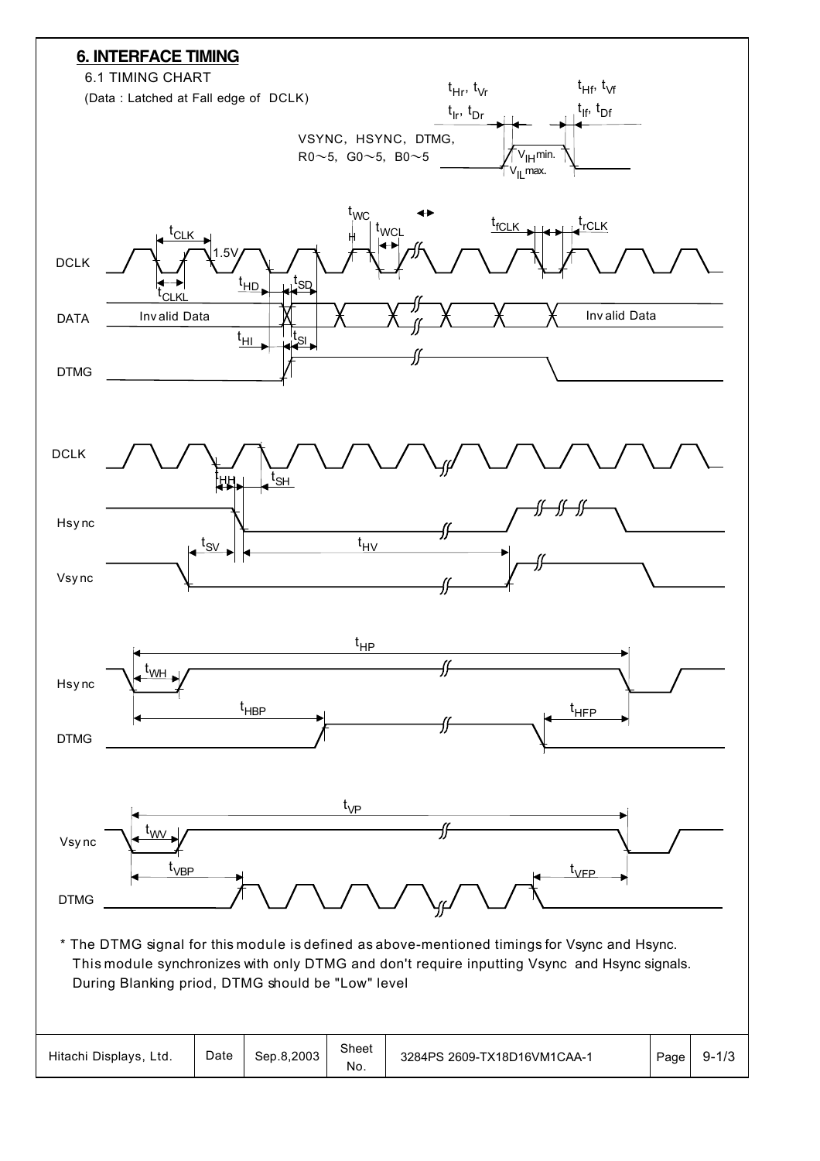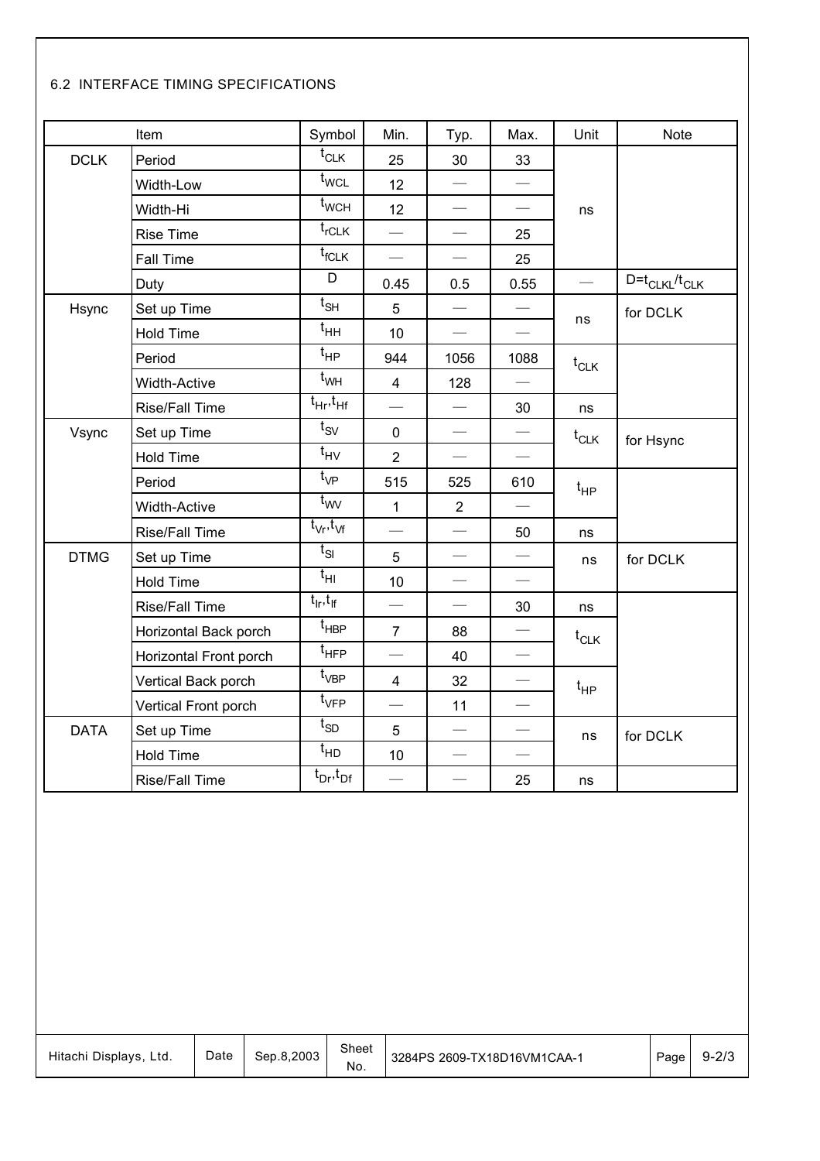### 6.2 INTERFACE TIMING SPECIFICATIONS

|             | Item                   | Symbol                            | Min.                             | Typ.                          | Max.                             | Unit                     | Note                   |
|-------------|------------------------|-----------------------------------|----------------------------------|-------------------------------|----------------------------------|--------------------------|------------------------|
| <b>DCLK</b> | Period                 | $\mathfrak{t}_{\text{CLK}}$       | 25                               | 30                            | 33                               |                          |                        |
|             | Width-Low              | $t_{\text{WCL}}$                  | 12                               |                               | $\overbrace{\qquad \qquad }^{ }$ |                          |                        |
|             | Width-Hi               | $t_{\mathsf{WCH}}$                | 12                               | $\overline{\phantom{m}}$      |                                  | ns                       |                        |
|             | <b>Rise Time</b>       | $t_{rCLK}$                        | $\overline{\phantom{0}}$         |                               | 25                               |                          |                        |
|             | Fall Time              | $\mathfrak{t}_{\textsf{fCLK}}$    |                                  |                               | 25                               |                          |                        |
|             | Duty                   | D                                 | 0.45                             | 0.5                           | 0.55                             | $\overline{\phantom{0}}$ | $D = t_{CLKL}/t_{CLK}$ |
| Hsync       | Set up Time            | $t_{\mathsf{SH}}$                 | 5                                | $\overline{\phantom{0}}$      |                                  |                          | for DCLK               |
|             | <b>Hold Time</b>       | $\mathfrak{t}_{\mathsf{HH}}$      | 10                               |                               | $\qquad \qquad$                  | ns                       |                        |
|             | Period                 | $t_{HP}$                          | 944                              | 1056                          | 1088                             | $t_{CLK}$                |                        |
|             | Width-Active           | $t_{WH}$                          | $\overline{4}$                   | 128                           |                                  |                          |                        |
|             | Rise/Fall Time         | $t_{\text{Hr}}$ , $t_{\text{Hf}}$ |                                  | $\overbrace{\phantom{aaaaa}}$ | 30                               | ns                       |                        |
| Vsync       | Set up Time            | $t_{SV}$                          | $\mathbf 0$                      | $\overbrace{\phantom{aaaaa}}$ |                                  | $t_{CLK}$                | for Hsync              |
|             | <b>Hold Time</b>       | $t_{\mathsf{HV}}$                 | $\overline{2}$                   | $\overbrace{\phantom{aaaaa}}$ |                                  |                          |                        |
|             | Period                 | $t_{VP}$                          | 515                              | 525                           | 610                              | $t_{HP}$                 |                        |
|             | Width-Active           | $t_{WW}$                          | $\mathbf{1}$                     | $\overline{2}$                | $\overbrace{\phantom{aaaaa}}$    |                          |                        |
|             | Rise/Fall Time         | $t_{\rm Vr}, t_{\rm Vf}$          | $\overline{\phantom{0}}$         |                               | 50                               | ns                       |                        |
| <b>DTMG</b> | Set up Time            | $t_{SI}$                          | 5                                |                               | $\overline{\phantom{m}}$         | ns                       | for DCLK               |
|             | <b>Hold Time</b>       | $t_{\text{HI}}$                   | 10                               |                               | $\overbrace{\phantom{aaaaa}}$    |                          |                        |
|             | Rise/Fall Time         | $t_{\sf lr}, t_{\sf lf}$          | $\overline{\phantom{0}}$         | $\overbrace{\phantom{aaaaa}}$ | 30                               | ns                       |                        |
|             | Horizontal Back porch  | t <sub>HBP</sub>                  | $\overline{7}$                   | 88                            |                                  | $t_{CLK}$                |                        |
|             | Horizontal Front porch | t <sub>HFP</sub>                  |                                  | 40                            |                                  |                          |                        |
|             | Vertical Back porch    | $\mathfrak{t}_{\mathsf{VBP}}$     | $\overline{4}$                   | 32                            | $\overline{\phantom{m}}$         | $t_{HP}$                 |                        |
|             | Vertical Front porch   | $t_{\sf VFP}$                     | $\overline{\phantom{0}}$         | 11                            | $\overbrace{\qquad \qquad }^{ }$ |                          |                        |
| <b>DATA</b> | Set up Time            | $t_{SD}$                          | 5                                |                               |                                  | ns                       | for DCLK               |
|             | Hold Time              | $t_{HD}$                          | 10                               |                               |                                  |                          |                        |
|             | Rise/Fall Time         | $t_{Dr}, t_{Df}$                  | $\overbrace{\qquad \qquad }^{ }$ |                               | 25                               | ns                       |                        |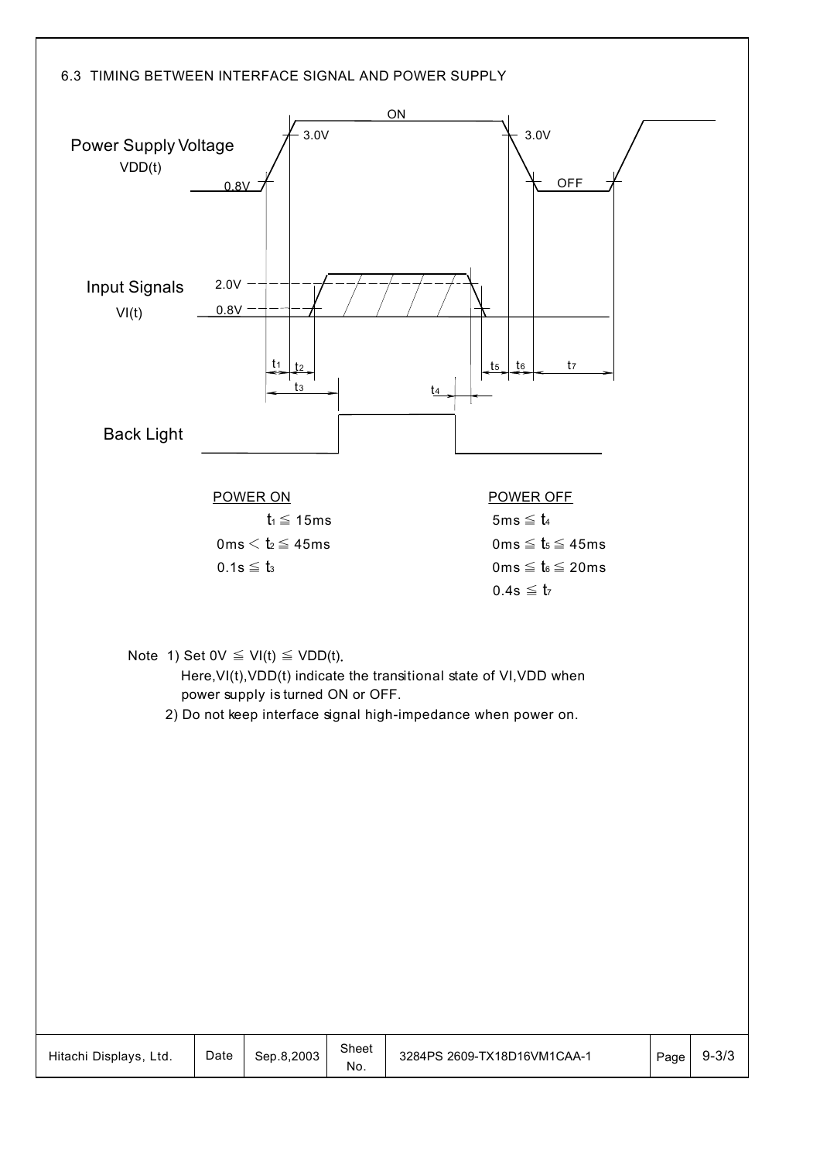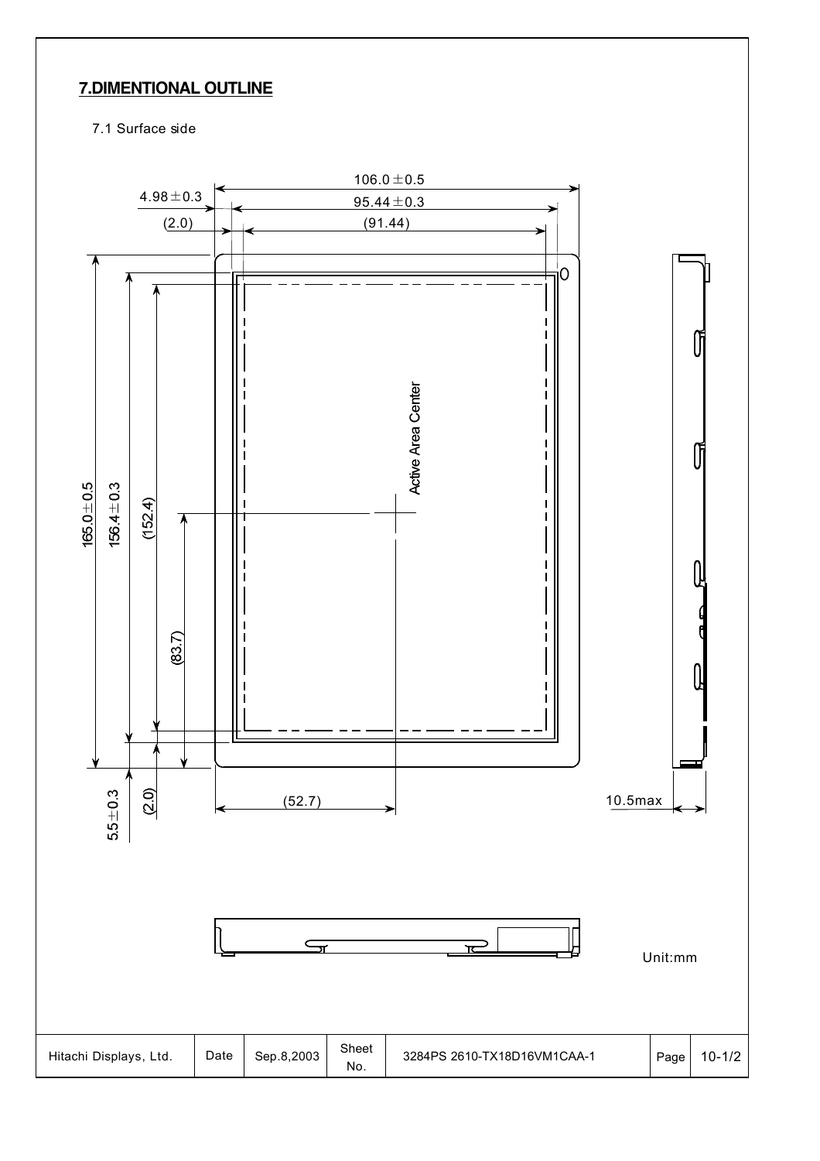## **7.DIMENTIONAL OUTLINE**

7.1 Surface side

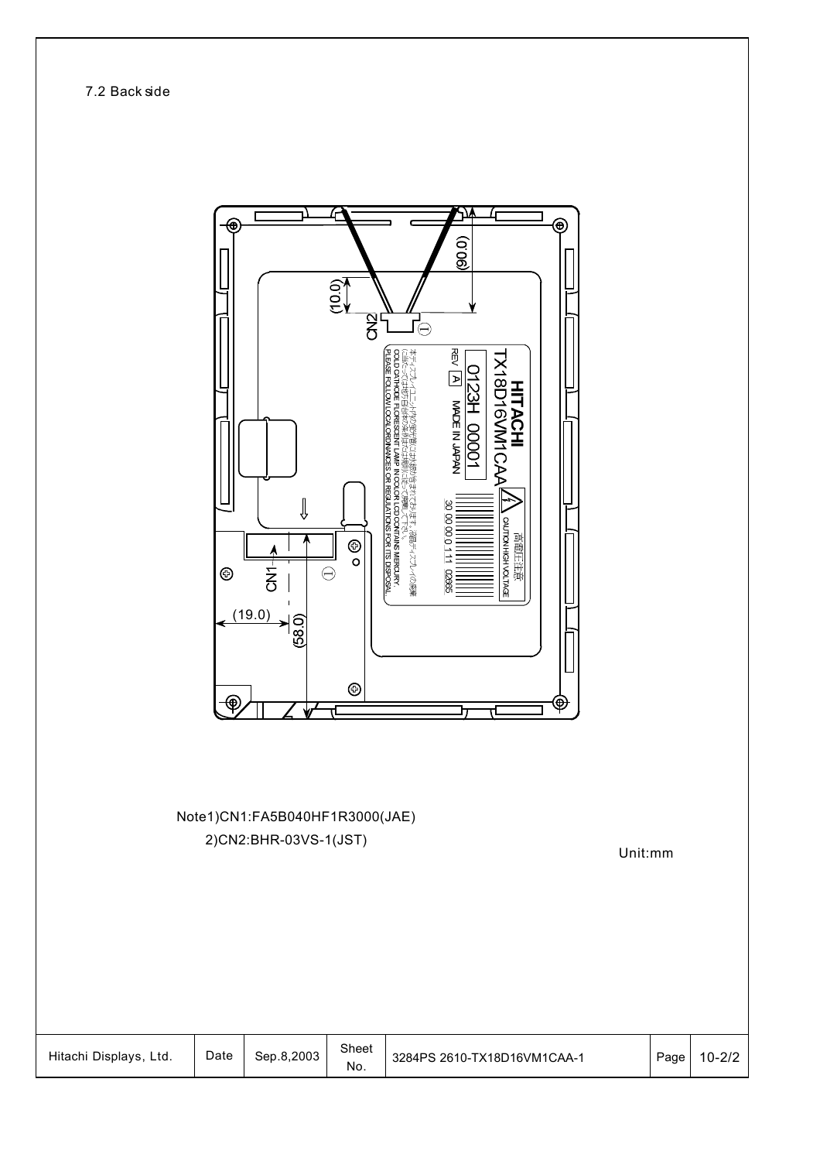7.2 Back side

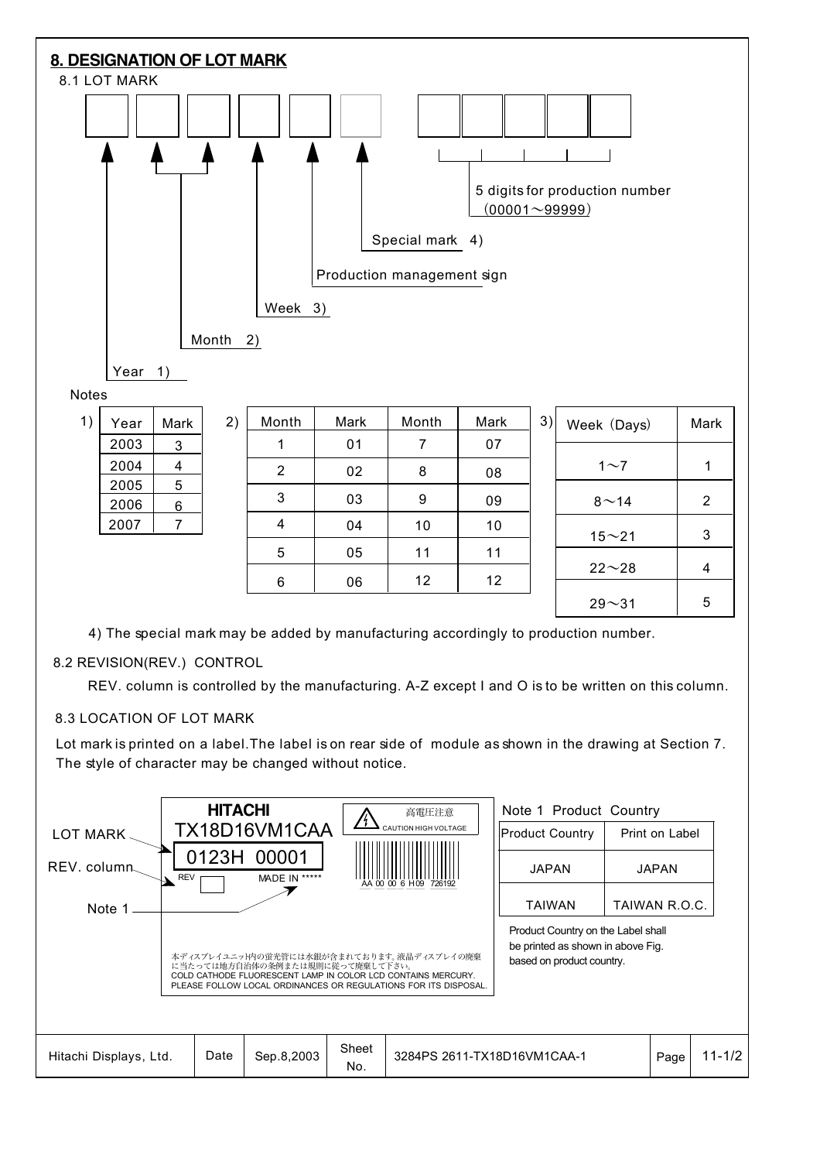

Product Country on the Label shall be printed as shown in above Fig. based on product country.

| Sheet<br>Date<br>$\sqrt{2}$<br>3284PS 2611-TX18D16VM1CAA-1<br>Hitachi Displays,<br>.8,2003<br>Ltd.<br>Sep<br>Page<br>$-1/\sim$ .<br>No. |
|-----------------------------------------------------------------------------------------------------------------------------------------|
|-----------------------------------------------------------------------------------------------------------------------------------------|

本ディスプレイユニット内の蛍光管には水銀が含まれております。液晶ディスプレイの廃棄 に当たっては地方自治体の条例または規則に従って廃棄して下さい。 COLD CATHODE FLUORESCENT LAMP IN COLOR LCD CONTAINS MERCURY. PLEASE FOLLOW LOCAL ORDINANCES OR REGULATIONS FOR ITS DISPOSAL.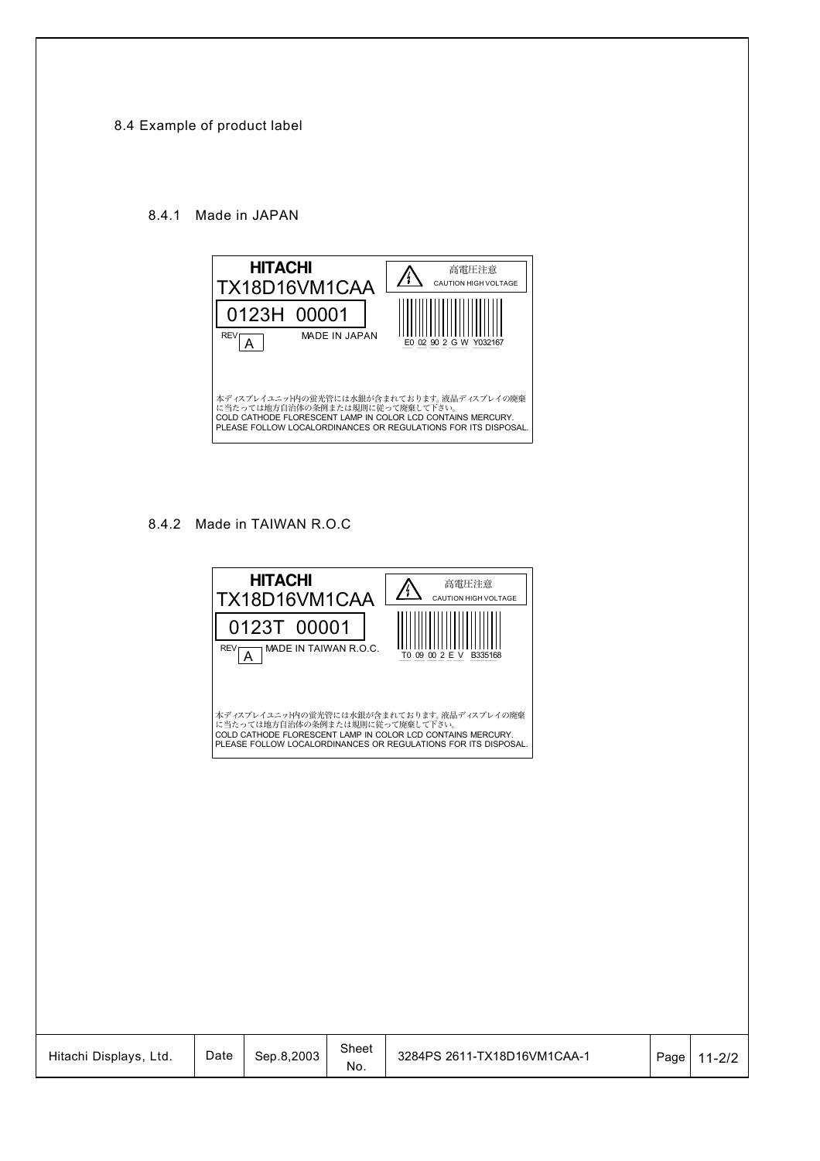#### 8.4 Example of product label

#### 8.4.1 Made in JAPAN



#### 8.4.2 Made in TAIWAN R.O.C

|                        | <b>REV<sub>L</sub></b> | <b>HITACHI</b><br>TX18D16VM1CAA<br>0123T 00001<br>MADE IN TAIWAN R.O.C.<br>A |              | 高電圧注意<br>/¦`<br>CAUTION HIGH VOLTAGE<br>T0 09 00 2 E V B335168                                                                                                             |      |            |
|------------------------|------------------------|------------------------------------------------------------------------------|--------------|----------------------------------------------------------------------------------------------------------------------------------------------------------------------------|------|------------|
|                        |                        | に当たっては地方自治体の条例または規則に従って廃棄して下さい。                                              |              | 本ディスプレイユニット内の蛍光管には水銀が含まれております。液晶ディスプレイの廃棄<br>COLD CATHODE FLORESCENT LAMP IN COLOR LCD CONTAINS MERCURY.<br>PLEASE FOLLOW LOCALORDINANCES OR REGULATIONS FOR ITS DISPOSAL. |      |            |
|                        |                        |                                                                              |              |                                                                                                                                                                            |      |            |
|                        |                        |                                                                              |              |                                                                                                                                                                            |      |            |
|                        |                        |                                                                              |              |                                                                                                                                                                            |      |            |
| Hitachi Displays, Ltd. | Date                   | Sep.8,2003                                                                   | Sheet<br>No. | 3284PS 2611-TX18D16VM1CAA-1                                                                                                                                                | Page | $11 - 2/2$ |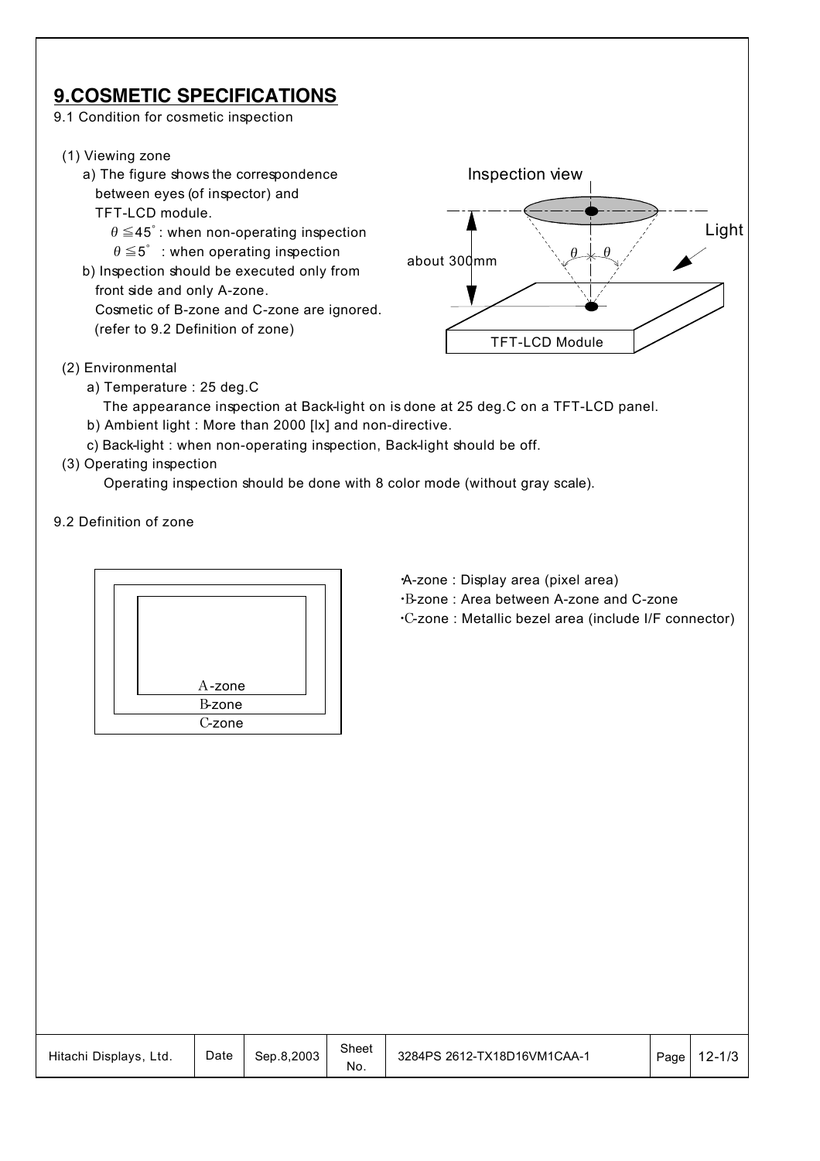## **9.COSMETIC SPECIFICATIONS**

- 9.1 Condition for cosmetic inspection
- (1) Viewing zone
	- a) The figure shows the correspondence between eyes (of inspector) and
		- TFT-LCD module.
		- $\theta \le 45^\circ$ : when non-operating inspection
			- $\theta \leq 5^\circ$  : when operating inspection
	- b) Inspection should be executed only from front side and only A-zone. Cosmetic of B-zone and C-zone are ignored. (refer to 9.2 Definition of zone)



- (2) Environmental
	- a) Temperature : 25 deg.C
	- The appearance inspection at Back-light on is done at 25 deg.C on a TFT-LCD panel.
	- b) Ambient light : More than 2000 [lx] and non-directive.
	- c) Back-light : when non-operating inspection, Back-light should be off.
- (3) Operating inspection

Operating inspection should be done with 8 color mode (without gray scale).

9.2 Definition of zone



- ・A-zone : Display area (pixel area)
- ・B-zone : Area between A-zone and C-zone
- ・C-zone : Metallic bezel area (include I/F connector)

| Hitachi Displays,<br>Ltd. | Date | Sep.8.2003 | Sheet<br>No. | 3284PS 2612-TX18D16VM1CAA-1 | Page | 2-1/3 |
|---------------------------|------|------------|--------------|-----------------------------|------|-------|
|---------------------------|------|------------|--------------|-----------------------------|------|-------|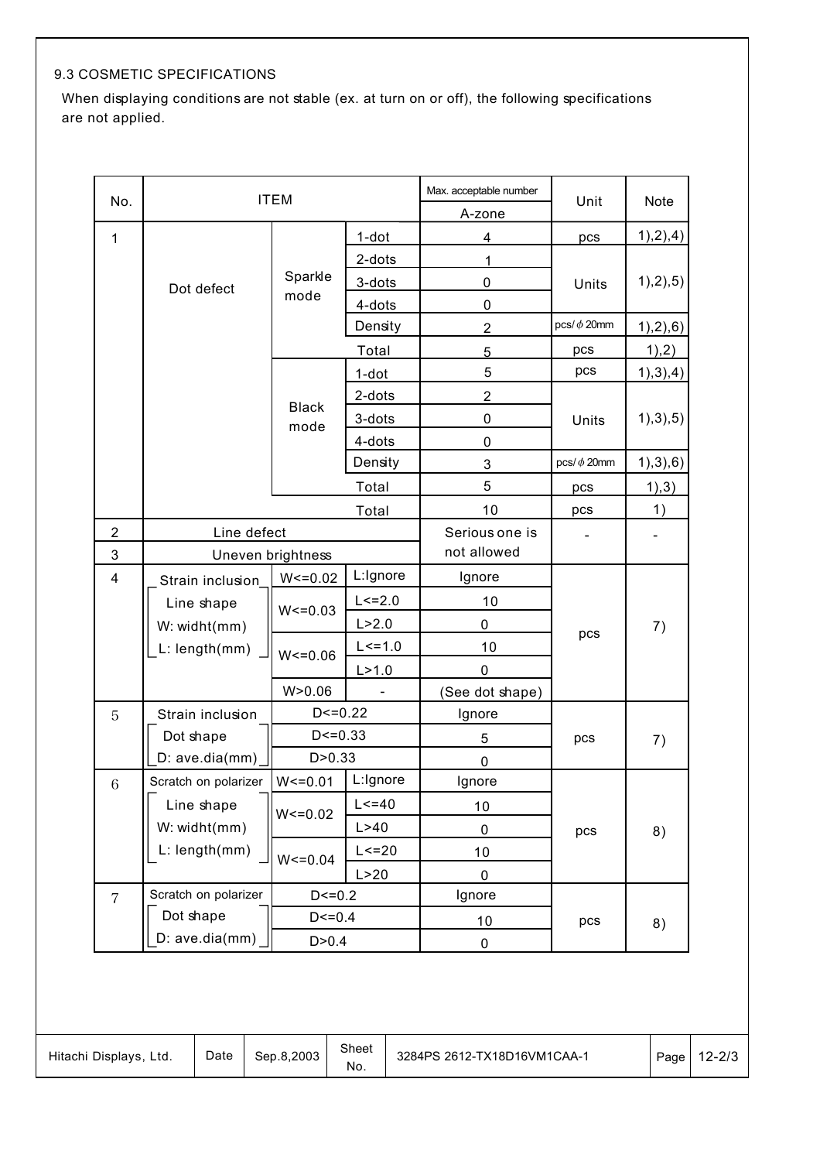## 9.3 COSMETIC SPECIFICATIONS

When displaying conditions are not stable (ex. at turn on or off), the following specifications are not applied.

| No.                     |                      | <b>ITEM</b>          |             | Max. acceptable number | Unit             | Note       |
|-------------------------|----------------------|----------------------|-------------|------------------------|------------------|------------|
|                         |                      |                      |             | A-zone                 |                  |            |
| 1                       |                      |                      | 1-dot       | 4                      | pcs              | 1),2),4)   |
|                         |                      |                      | $2-dots$    | 1                      |                  |            |
|                         | Dot defect           | Sparkle              | 3-dots      | 0                      | Units            | 1),2),5)   |
|                         |                      | mode                 | 4-dots      | 0                      |                  |            |
|                         |                      |                      | Density     | $\overline{2}$         | pcs/ $\phi$ 20mm | 1),2),6)   |
|                         |                      |                      | Total       | 5                      | pcs              | 1,2)       |
|                         |                      |                      | $1$ -dot    | 5                      | pcs              | 1), 3), 4) |
|                         |                      |                      | 2-dots      | $\overline{2}$         |                  |            |
|                         |                      | <b>Black</b><br>mode | 3-dots      | 0                      | Units            | 1), 3), 5) |
|                         |                      |                      | 4-dots      | 0                      |                  |            |
|                         |                      |                      | Density     | 3                      | pcs/ $\phi$ 20mm | 1), 3), 6) |
|                         |                      |                      | Total       | 5                      | pcs              | 1), 3)     |
|                         |                      |                      | Total       | 10                     | pcs              | 1)         |
| $\overline{2}$          | Line defect          |                      |             | Serious one is         |                  |            |
| 3                       |                      | Uneven brightness    |             | not allowed            |                  |            |
| $\overline{\mathbf{4}}$ | Strain inclusion     | $W < = 0.02$         | L:Ignore    | Ignore                 |                  |            |
|                         | Line shape           | $W < = 0.03$         | $L < = 2.0$ | 10                     |                  |            |
|                         | W: widht(mm)         |                      | L > 2.0     | 0                      | pcs              | 7)         |
|                         | L: length(mm)        | $W < = 0.06$         | $L < = 1.0$ | 10                     |                  |            |
|                         |                      |                      | L > 1.0     | 0                      |                  |            |
|                         |                      | W > 0.06             |             | (See dot shape)        |                  |            |
| 5                       | Strain inclusion     | $D < = 0.22$         |             | Ignore                 |                  |            |
|                         | Dot shape            | $D < = 0.33$         |             | 5                      | pcs              | 7)         |
|                         | D: ave.dia(mm)       | D > 0.33             |             | $\mathbf 0$            |                  |            |
| 6                       | Scratch on polarizer | $W < = 0.01$         | L:Ignore    | Ignore                 |                  |            |
|                         | Line shape           | $W < = 0.02$         | $L < = 40$  | 10                     |                  |            |
|                         | W: widht(mm)         |                      | L > 40      | $\pmb{0}$              | pcs              | 8)         |
|                         | L: length(mm)        | $W < = 0.04$         | $L < = 20$  | 10                     |                  |            |
|                         |                      |                      | L > 20      | $\mathbf 0$            |                  |            |
| $\overline{7}$          | Scratch on polarizer | $D < = 0.2$          |             | Ignore                 |                  |            |
|                         | Dot shape            | $D < = 0.4$          |             | 10                     | pcs              | 8)         |
|                         | D: ave.dia(mm)       | D > 0.4              |             | 0                      |                  |            |

| Hitachi Displays,<br>Ltd. | Date | Sep.8.2003 | Sheet<br>No. | 3284PS 2612-TX18D16VM1CAA-1 | Page | $12 - 2/3$ |
|---------------------------|------|------------|--------------|-----------------------------|------|------------|
|---------------------------|------|------------|--------------|-----------------------------|------|------------|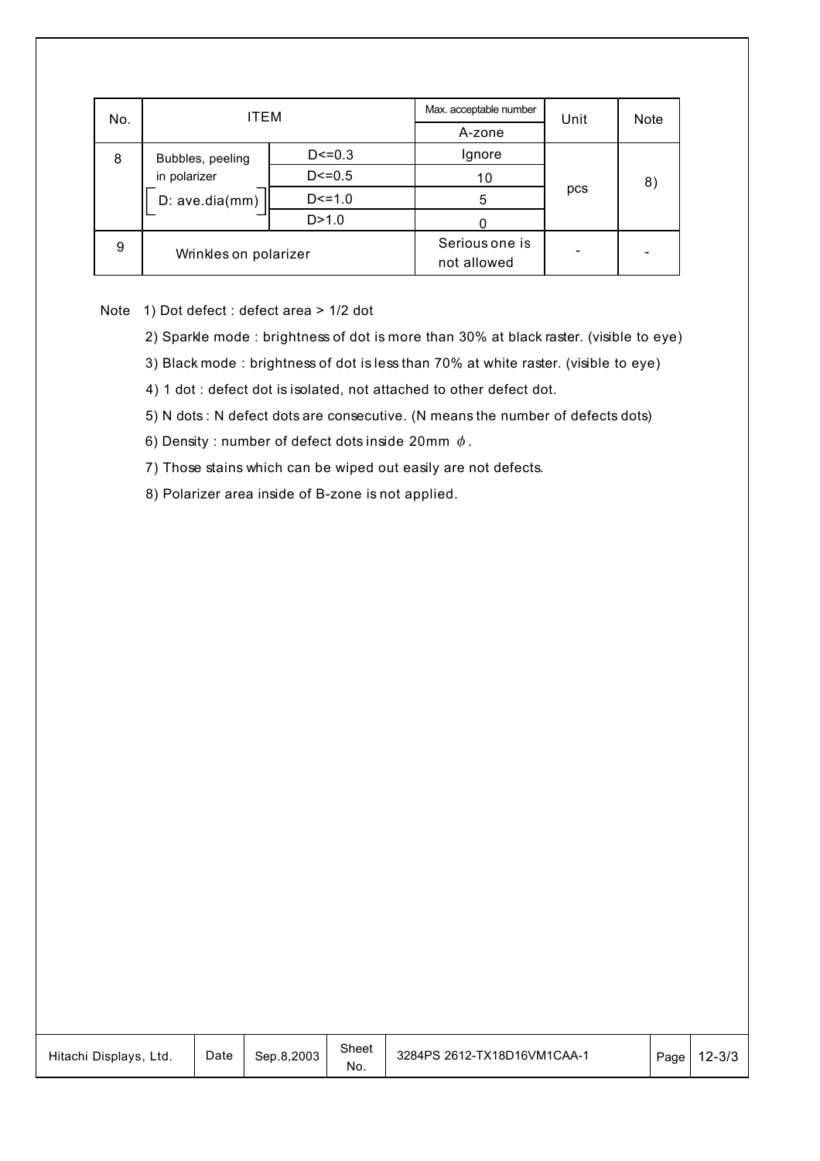| No. | ITEM                  |             | Max. acceptable number        | Unit | <b>Note</b> |
|-----|-----------------------|-------------|-------------------------------|------|-------------|
|     |                       |             | A-zone                        |      |             |
| 8   | Bubbles, peeling      | $D < = 0.3$ | Ignore                        |      |             |
|     | in polarizer          | $D < = 0.5$ | 10                            |      | 8)          |
|     | D: ave.dia(mm)        | $D < = 1.0$ | 5                             | pcs  |             |
|     |                       | D > 1.0     |                               |      |             |
| 9   | Wrinkles on polarizer |             | Serious one is<br>not allowed |      |             |

Note 1) Dot defect : defect area > 1/2 dot

2) Sparkle mode : brightness of dot is more than 30% at black raster. (visible to eye)

3) Black mode : brightness of dot is less than 70% at white raster. (visible to eye)

4) 1 dot : defect dot is isolated, not attached to other defect dot.

5) N dots : N defect dots are consecutive. (N means the number of defects dots)

6) Density : number of defect dots inside 20mm  $\phi$ .

7) Those stains which can be wiped out easily are not defects.

8) Polarizer area inside of B-zone is not applied.

| Hitachi Displays, Ltd. | Date | Sep.8.2003 | Sheet<br>NO. | 3284PS 2612-TX18D16VM1CAA-1 | Page | $12 - 3/3$ |
|------------------------|------|------------|--------------|-----------------------------|------|------------|
|------------------------|------|------------|--------------|-----------------------------|------|------------|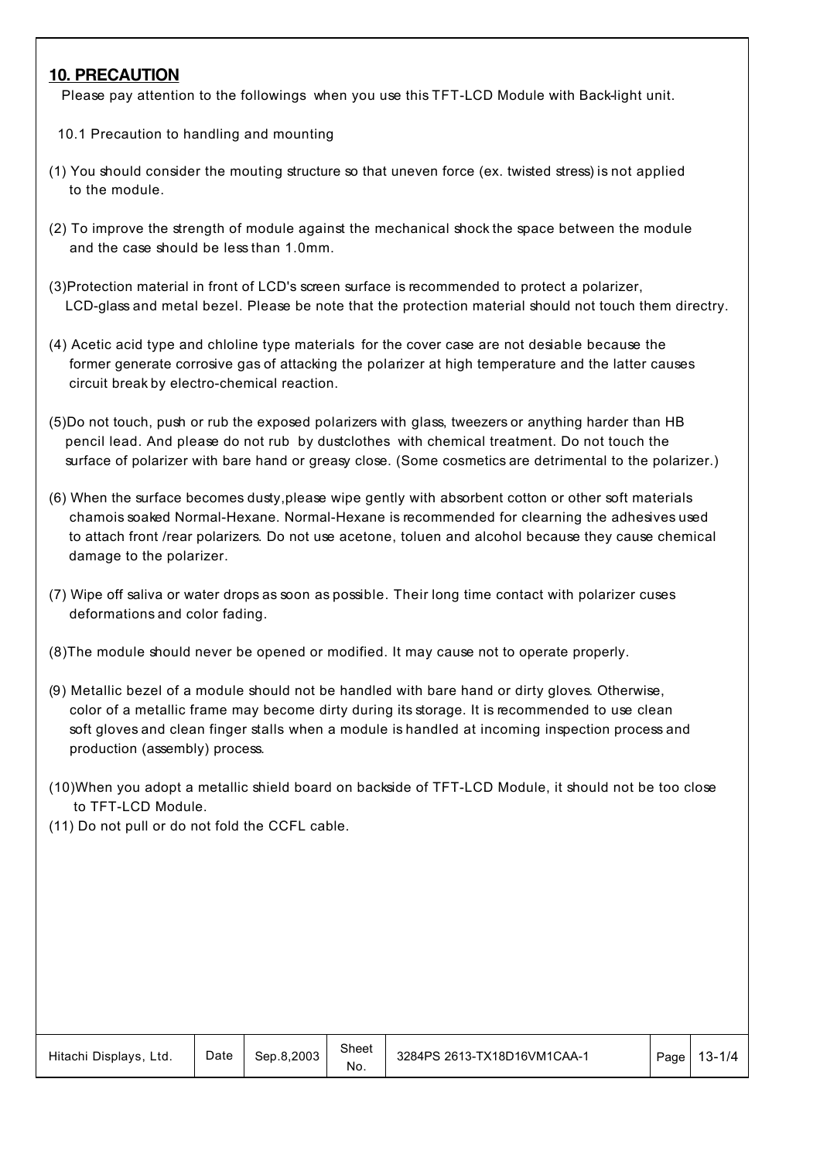#### **10. PRECAUTION**

Please pay attention to the followings when you use this TFT-LCD Module with Back-light unit.

- 10.1 Precaution to handling and mounting
- (1) You should consider the mouting structure so that uneven force (ex. twisted stress) is not applied to the module.
- (2) To improve the strength of module against the mechanical shock the space between the module and the case should be less than 1.0mm.
- (3)Protection material in front of LCD's screen surface is recommended to protect a polarizer, LCD-glass and metal bezel. Please be note that the protection material should not touch them directry.
- (4) Acetic acid type and chloline type materials for the cover case are not desiable because the former generate corrosive gas of attacking the polarizer at high temperature and the latter causes circuit break by electro-chemical reaction.
- (5)Do not touch, push or rub the exposed polarizers with glass, tweezers or anything harder than HB pencil lead. And please do not rub by dustclothes with chemical treatment. Do not touch the surface of polarizer with bare hand or greasy close. (Some cosmetics are detrimental to the polarizer.)
- (6) When the surface becomes dusty,please wipe gently with absorbent cotton or other soft materials chamois soaked Normal-Hexane. Normal-Hexane is recommended for clearning the adhesives used to attach front /rear polarizers. Do not use acetone, toluen and alcohol because they cause chemical damage to the polarizer.
- (7) Wipe off saliva or water drops as soon as possible. Their long time contact with polarizer cuses deformations and color fading.
- (8)The module should never be opened or modified. It may cause not to operate properly.
- (9) Metallic bezel of a module should not be handled with bare hand or dirty gloves. Otherwise, color of a metallic frame may become dirty during its storage. It is recommended to use clean soft gloves and clean finger stalls when a module is handled at incoming inspection process and production (assembly) process.
- (10)When you adopt a metallic shield board on backside of TFT-LCD Module, it should not be too close to TFT-LCD Module.
- (11) Do not pull or do not fold the CCFL cable.

| Hitachi Displays, Ltd. | Date | Sep.8.2003 | Sheet<br>No. | 3284PS 2613-TX18D16VM1CAA-1 | Page | 13-1/4 |
|------------------------|------|------------|--------------|-----------------------------|------|--------|
|------------------------|------|------------|--------------|-----------------------------|------|--------|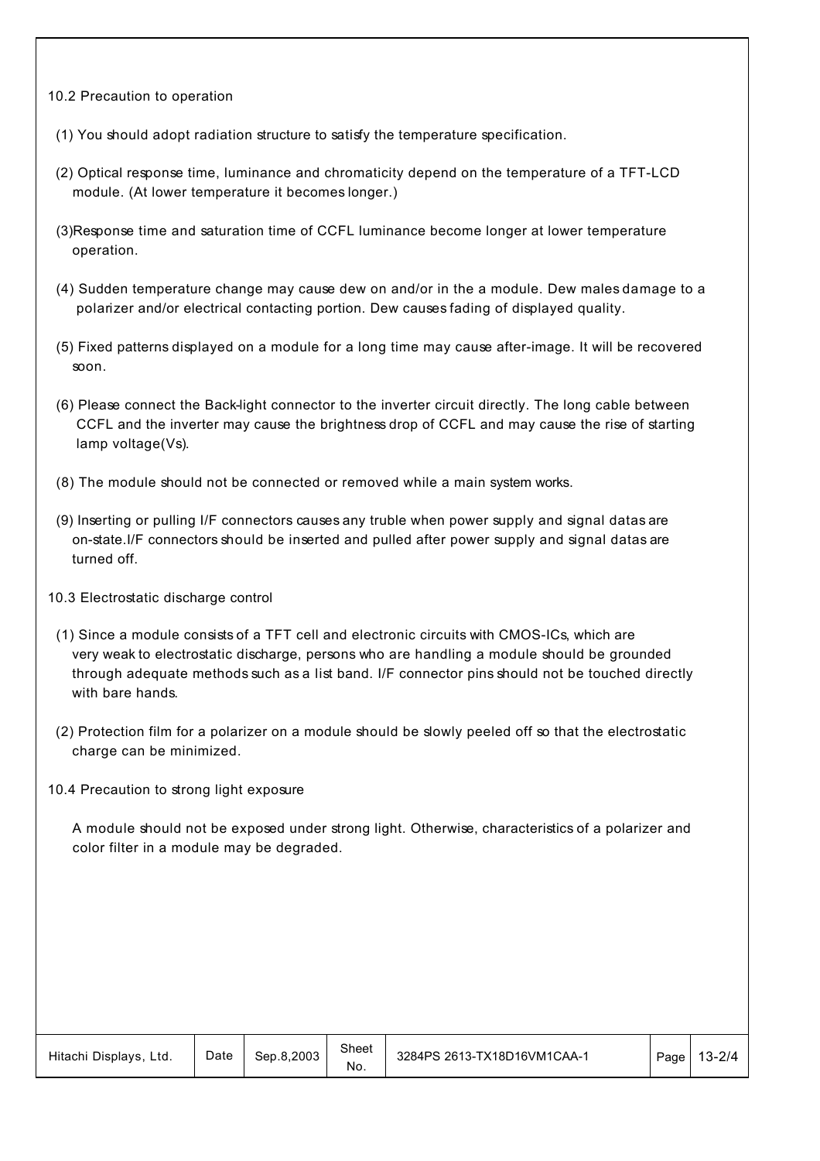- 10.2 Precaution to operation
- (1) You should adopt radiation structure to satisfy the temperature specification.
- (2) Optical response time, luminance and chromaticity depend on the temperature of a TFT-LCD module. (At lower temperature it becomes longer.)
- (3)Response time and saturation time of CCFL luminance become longer at lower temperature operation.
- (4) Sudden temperature change may cause dew on and/or in the a module. Dew males damage to a polarizer and/or electrical contacting portion. Dew causes fading of displayed quality.
- (5) Fixed patterns displayed on a module for a long time may cause after-image. It will be recovered soon.
- (6) Please connect the Back-light connector to the inverter circuit directly. The long cable between CCFL and the inverter may cause the brightness drop of CCFL and may cause the rise of starting lamp voltage(Vs).
- (8) The module should not be connected or removed while a main system works.
- (9) Inserting or pulling I/F connectors causes any truble when power supply and signal datas are on-state.I/F connectors should be inserted and pulled after power supply and signal datas are turned off.
- 10.3 Electrostatic discharge control
- (1) Since a module consists of a TFT cell and electronic circuits with CMOS-ICs, which are very weak to electrostatic discharge, persons who are handling a module should be grounded through adequate methods such as a list band. I/F connector pins should not be touched directly with bare hands.
- (2) Protection film for a polarizer on a module should be slowly peeled off so that the electrostatic charge can be minimized.
- 10.4 Precaution to strong light exposure

 A module should not be exposed under strong light. Otherwise, characteristics of a polarizer and color filter in a module may be degraded.

| Hitachi Displays,<br>Ltd. | Date | Sep.8.2003 | Sheet<br>No. | 3284PS 2613-TX18D16VM1CAA-1 | Page | $13 - 2/4$ |
|---------------------------|------|------------|--------------|-----------------------------|------|------------|
|---------------------------|------|------------|--------------|-----------------------------|------|------------|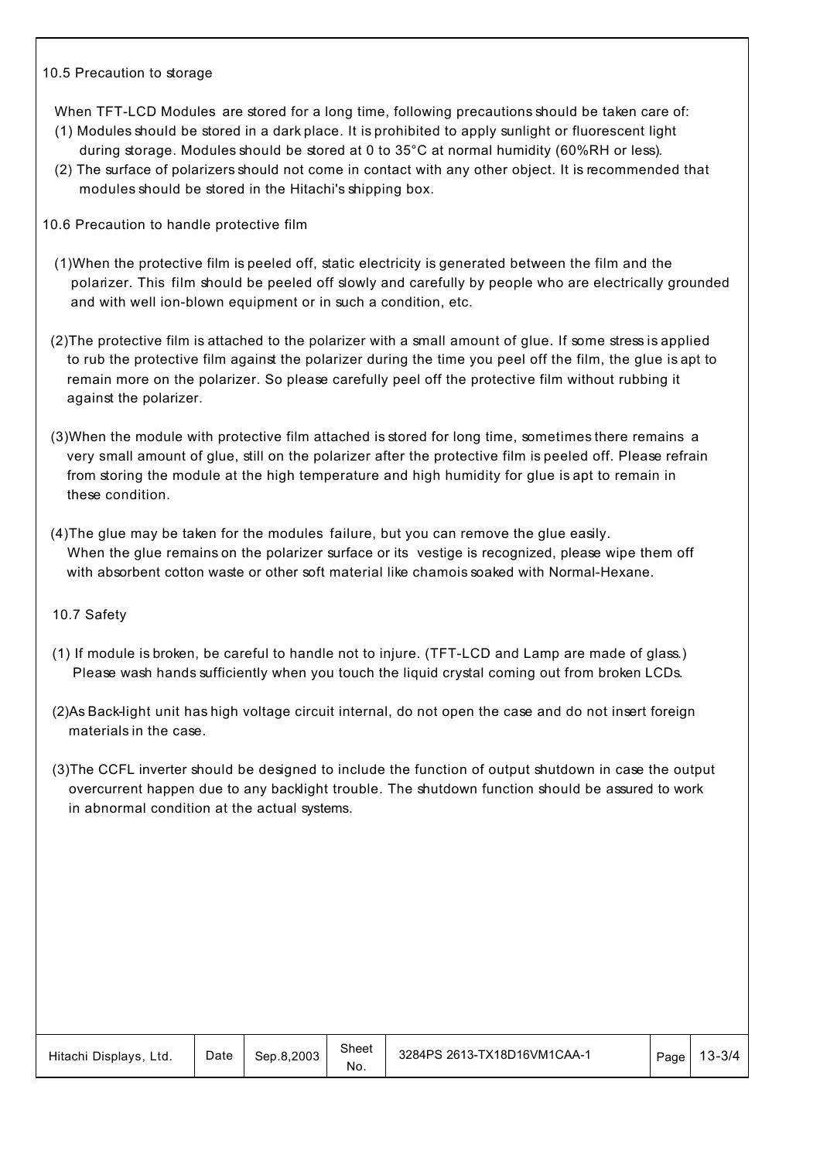#### 10.5 Precaution to storage

When TFT-LCD Modules are stored for a long time, following precautions should be taken care of:

- (1) Modules should be stored in a dark place. It is prohibited to apply sunlight or fluorescent light during storage. Modules should be stored at 0 to 35°C at normal humidity (60%RH or less).
- (2) The surface of polarizers should not come in contact with any other object. It is recommended that modules should be stored in the Hitachi's shipping box.
- 10.6 Precaution to handle protective film
	- (1)When the protective film is peeled off, static electricity is generated between the film and the polarizer. This film should be peeled off slowly and carefully by people who are electrically grounded and with well ion-blown equipment or in such a condition, etc.
- (2)The protective film is attached to the polarizer with a small amount of glue. If some stress is applied to rub the protective film against the polarizer during the time you peel off the film, the glue is apt to remain more on the polarizer. So please carefully peel off the protective film without rubbing it against the polarizer.
- (3)When the module with protective film attached is stored for long time, sometimes there remains a very small amount of glue, still on the polarizer after the protective film is peeled off. Please refrain from storing the module at the high temperature and high humidity for glue is apt to remain in these condition.
- (4)The glue may be taken for the modules failure, but you can remove the glue easily. When the glue remains on the polarizer surface or its vestige is recognized, please wipe them off with absorbent cotton waste or other soft material like chamois soaked with Normal-Hexane.

#### 10.7 Safety

- (1) If module is broken, be careful to handle not to injure. (TFT-LCD and Lamp are made of glass.) Please wash hands sufficiently when you touch the liquid crystal coming out from broken LCDs.
- (2)As Back-light unit has high voltage circuit internal, do not open the case and do not insert foreign materials in the case.
- (3)The CCFL inverter should be designed to include the function of output shutdown in case the output overcurrent happen due to any backlight trouble. The shutdown function should be assured to work in abnormal condition at the actual systems.

| Hitachi Displays, Ltd. | Date | Sep.8.2003 | Sheet<br>No. | 3284PS 2613-TX18D16VM1CAA-1 | Page | 13-3/4 |
|------------------------|------|------------|--------------|-----------------------------|------|--------|
|------------------------|------|------------|--------------|-----------------------------|------|--------|